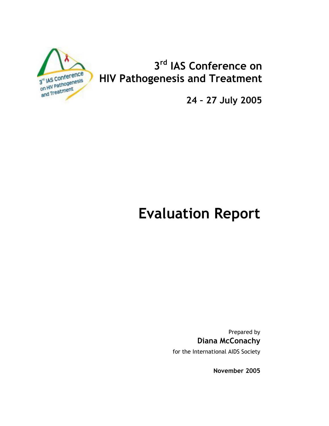

# 3rd IAS Conference on **HIV Pathogenesis and Treatment**

24 - 27 July 2005

# **Evaluation Report**

Prepared by **Diana McConachy** 

for the International AIDS Society

November 2005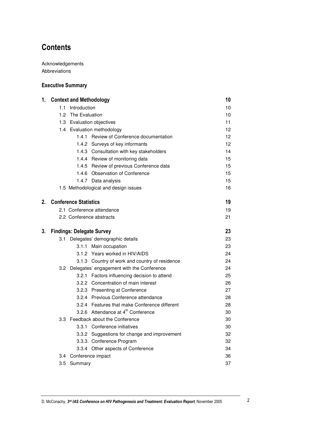# **Contents**

Acknowledgements Abbreviations

### **Executive Summary**

| 1. |     | <b>Context and Methodology</b>                 | 10 |
|----|-----|------------------------------------------------|----|
|    | 1.1 | Introduction                                   | 10 |
|    | 1.2 | The Evaluation                                 | 10 |
|    |     | 1.3 Evaluation objectives                      | 11 |
|    |     | 1.4 Evaluation methodology                     | 12 |
|    |     | 1.4.1 Review of Conference documentation       | 12 |
|    |     | 1.4.2 Surveys of key informants                | 12 |
|    |     | 1.4.3 Consultation with key stakeholders       | 14 |
|    |     | 1.4.4 Review of monitoring data                | 15 |
|    |     | 1.4.5 Review of previous Conference data       | 15 |
|    |     | 1.4.6 Observation of Conference                | 15 |
|    |     | 1.4.7 Data analysis                            | 15 |
|    |     | 1.5 Methodological and design issues           | 16 |
| 2. |     | <b>Conference Statistics</b>                   | 19 |
|    |     | 2.1 Conference attendance                      | 19 |
|    |     | 2.2 Conference abstracts                       | 21 |
| 3. |     | <b>Findings: Delegate Survey</b>               | 23 |
|    |     | 3.1 Delegates' demographic details             | 23 |
|    |     | 3.1.1 Main occupation                          | 23 |
|    |     | 3.1.2 Years worked in HIV/AIDS                 | 24 |
|    |     | 3.1.3 Country of work and country of residence | 24 |
|    |     | 3.2 Delegates' engagement with the Conference  | 24 |
|    |     | 3.2.1 Factors influencing decision to attend   | 25 |
|    |     | 3.2.2 Concentration of main interest           | 26 |
|    |     | 3.2.3 Presenting at Conference                 | 27 |
|    |     | 3.2.4 Previous Conference attendance           | 28 |
|    |     | 3.2.4 Features that make Conference different  | 28 |
|    |     | 3.2.6 Attendance at 4 <sup>th</sup> Conference | 30 |
|    |     | 3.3 Feedback about the Conference              | 30 |
|    |     | 3.3.1 Conference initiatives                   | 30 |
|    |     | 3.3.2 Suggestions for change and improvement   | 32 |
|    |     | 3.3.3. Conference Program                      | 32 |
|    |     | 3.3.4 Other aspects of Conference              | 34 |
|    |     | 3.4 Conference impact                          | 36 |
|    | 3.5 | Summary                                        | 37 |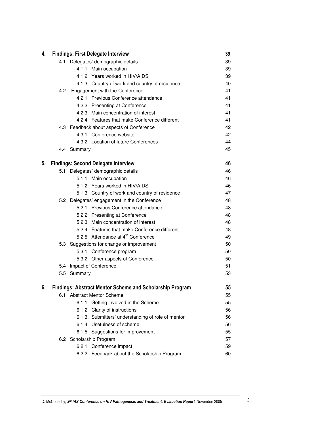| 4. |     |             | <b>Findings: First Delegate Interview</b>                       | 39 |
|----|-----|-------------|-----------------------------------------------------------------|----|
|    |     |             | 4.1 Delegates' demographic details                              | 39 |
|    |     |             | 4.1.1 Main occupation                                           | 39 |
|    |     |             | 4.1.2 Years worked in HIV/AIDS                                  | 39 |
|    |     |             | 4.1.3 Country of work and country of residence                  | 40 |
|    | 4.2 |             | Engagement with the Conference                                  | 41 |
|    |     |             | 4.2.1 Previous Conference attendance                            | 41 |
|    |     |             | 4.2.2 Presenting at Conference                                  | 41 |
|    |     |             | 4.2.3 Main concentration of interest                            | 41 |
|    |     |             | 4.2.4 Features that make Conference different                   | 41 |
|    |     |             | 4.3 Feedback about aspects of Conference                        | 42 |
|    |     |             | 4.3.1 Conference website                                        | 42 |
|    |     |             | 4.3.2 Location of future Conferences                            | 44 |
|    |     | 4.4 Summary |                                                                 | 45 |
| 5. |     |             | <b>Findings: Second Delegate Interview</b>                      | 46 |
|    | 5.1 |             | Delegates' demographic details                                  | 46 |
|    |     |             | 5.1.1 Main occupation                                           | 46 |
|    |     |             | 5.1.2 Years worked in HIV/AIDS                                  | 46 |
|    |     |             | 5.1.3 Country of work and country of residence                  | 47 |
|    |     |             | 5.2 Delegates' engagement in the Conference                     | 48 |
|    |     |             | 5.2.1 Previous Conference attendance                            | 48 |
|    |     |             | 5.2.2 Presenting at Conference                                  | 48 |
|    |     |             | 5.2.3 Main concentration of interest                            | 48 |
|    |     |             | 5.2.4 Features that make Conference different                   | 48 |
|    |     |             | 5.2.5 Attendance at 4 <sup>th</sup> Conference                  | 49 |
|    |     |             | 5.3 Suggestions for change or improvement                       | 50 |
|    |     |             | 5.3.1 Conference program                                        | 50 |
|    |     |             | 5.3.2 Other aspects of Conference                               | 50 |
|    |     |             | 5.4 Impact of Conference                                        | 51 |
|    | 5.5 | Summary     |                                                                 | 53 |
| 6. |     |             | <b>Findings: Abstract Mentor Scheme and Scholarship Program</b> | 55 |
|    | 6.1 |             | <b>Abstract Mentor Scheme</b>                                   | 55 |
|    |     | 6.1.1       | Getting involved in the Scheme                                  | 55 |
|    |     |             | 6.1.2 Clarity of instructions                                   | 56 |
|    |     |             | 6.1.3. Submitters' understanding of role of mentor              | 56 |
|    |     |             | 6.1.4 Usefulness of scheme                                      | 56 |
|    |     | 6.1.5       | Suggestions for improvement                                     | 55 |
|    |     |             | 6.2 Scholarship Program                                         | 57 |
|    |     |             | 6.2.1 Conference impact                                         | 59 |
|    |     |             | 6.2.2 Feedback about the Scholarship Program                    | 60 |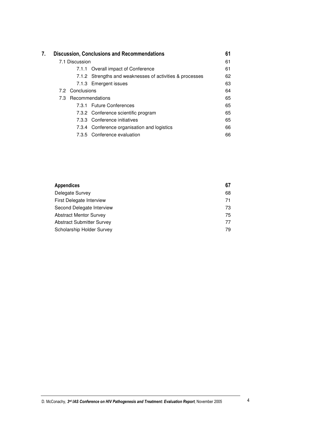| 7. |                 | <b>Discussion, Conclusions and Recommendations</b>       | 61 |
|----|-----------------|----------------------------------------------------------|----|
|    | 7.1 Discussion  |                                                          | 61 |
|    |                 | 7.1.1 Overall impact of Conference                       | 61 |
|    |                 | 7.1.2 Strengths and weaknesses of activities & processes | 62 |
|    |                 | 7.1.3 Emergent issues                                    | 63 |
|    | 7.2 Conclusions |                                                          | 64 |
|    |                 | 7.3 Recommendations                                      | 65 |
|    |                 | 7.3.1 Future Conferences                                 | 65 |
|    |                 | 7.3.2 Conference scientific program                      | 65 |
|    |                 | 7.3.3 Conference initiatives                             | 65 |
|    |                 | 7.3.4 Conference organisation and logistics              | 66 |
|    |                 | 7.3.5 Conference evaluation                              | 66 |

| Appendices                | 67 |
|---------------------------|----|
| Delegate Survey           | 68 |
| First Delegate Interview  | 71 |
| Second Delegate Interview | 73 |
| Abstract Mentor Survey    | 75 |
| Abstract Submitter Survey | 77 |
| Scholarship Holder Survey | 79 |
|                           |    |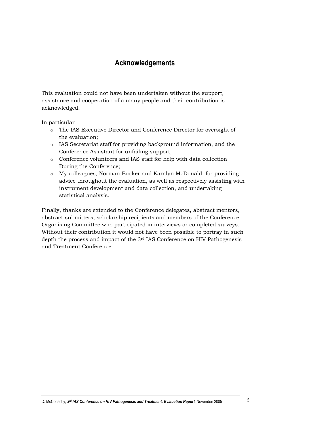## **Acknowledgements**

This evaluation could not have been undertaken without the support, assistance and cooperation of a many people and their contribution is acknowledged.

In particular

- o The IAS Executive Director and Conference Director for oversight of the evaluation:
- o IAS Secretariat staff for providing background information, and the Conference Assistant for unfailing support;
- o Conference volunteers and IAS staff for help with data collection During the Conference;
- o My colleagues, Norman Booker and Karalyn McDonald, for providing advice throughout the evaluation, as well as respectively assisting with instrument development and data collection, and undertaking statistical analysis.

Finally, thanks are extended to the Conference delegates, abstract mentors, abstract submitters, scholarship recipients and members of the Conference Organising Committee who participated in interviews or completed surveys. Without their contribution it would not have been possible to portray in such depth the process and impact of the 3<sup>rd</sup> IAS Conference on HIV Pathogenesis and Treatment Conference.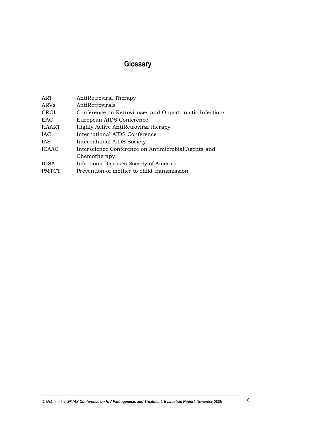# Glossary

| ART          | AntiRetroviral Therapy                                  |
|--------------|---------------------------------------------------------|
| ARVs         | AntiRetrovirals                                         |
| <b>CROI</b>  | Conference on Retroviruses and Opportunistic Infections |
| <b>EAC</b>   | European AIDS Conference                                |
| <b>HAART</b> | Highly Active AntiRetroviral therapy                    |
| <b>IAC</b>   | International AIDS Conference                           |
| IAS          | International AIDS Society                              |
| <b>ICAAC</b> | Interscience Conference on Antimicrobial Agents and     |
|              | Chemotherapy                                            |
| <b>IDSA</b>  | Infectious Diseases Society of America                  |
| <b>PMTCT</b> | Prevention of mother to child transmission              |
|              |                                                         |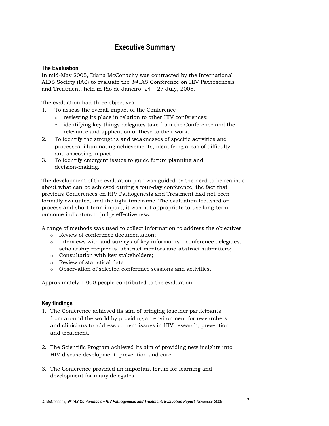## **Executive Summary**

### **The Evaluation**

In mid-May 2005, Diana McConachy was contracted by the International AIDS Society (IAS) to evaluate the  $3<sup>rd</sup>$  IAS Conference on HIV Pathogenesis and Treatment, held in Rio de Janeiro, 24 - 27 July, 2005.

The evaluation had three objectives

- To assess the overall impact of the Conference  $1.$ 
	- o reviewing its place in relation to other HIV conferences;
	- o identifying key things delegates take from the Conference and the relevance and application of these to their work.
- 2. To identify the strengths and weaknesses of specific activities and processes, illuminating achievements, identifying areas of difficulty and assessing impact.
- 3. To identify emergent issues to guide future planning and decision-making.

The development of the evaluation plan was guided by the need to be realistic about what can be achieved during a four-day conference, the fact that previous Conferences on HIV Pathogenesis and Treatment had not been formally evaluated, and the tight timeframe. The evaluation focussed on process and short-term impact; it was not appropriate to use long-term outcome indicators to judge effectiveness.

A range of methods was used to collect information to address the objectives

- o Review of conference documentation;
- $\circ$  Interviews with and surveys of key informants conference delegates, scholarship recipients, abstract mentors and abstract submitters;
- o Consultation with key stakeholders;
- o Review of statistical data;
- o Observation of selected conference sessions and activities.

Approximately 1 000 people contributed to the evaluation.

### **Key findings**

- 1. The Conference achieved its aim of bringing together participants from around the world by providing an environment for researchers and clinicians to address current issues in HIV research, prevention and treatment.
- 2. The Scientific Program achieved its aim of providing new insights into HIV disease development, prevention and care.
- 3. The Conference provided an important forum for learning and development for many delegates.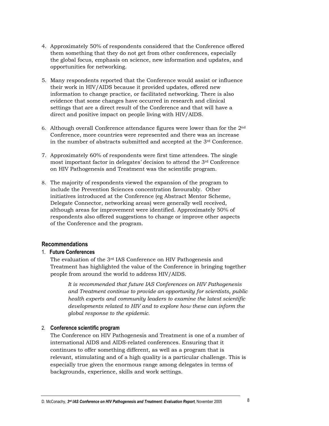- 4. Approximately 50% of respondents considered that the Conference offered them something that they do not get from other conferences, especially the global focus, emphasis on science, new information and updates, and opportunities for networking.
- 5. Many respondents reported that the Conference would assist or influence their work in HIV/AIDS because it provided updates, offered new information to change practice, or facilitated networking. There is also evidence that some changes have occurred in research and clinical settings that are a direct result of the Conference and that will have a direct and positive impact on people living with HIV/AIDS.
- 6. Although overall Conference attendance figures were lower than for the 2<sup>nd</sup> Conference, more countries were represented and there was an increase in the number of abstracts submitted and accepted at the  $3<sup>rd</sup>$  Conference.
- 7. Approximately 60% of respondents were first time attendees. The single most important factor in delegates' decision to attend the 3<sup>rd</sup> Conference on HIV Pathogenesis and Treatment was the scientific program.
- 8. The majority of respondents viewed the expansion of the program to include the Prevention Sciences concentration favourably. Other initiatives introduced at the Conference (eg Abstract Mentor Scheme, Delegate Connector, networking areas) were generally well received, although areas for improvement were identified. Approximately 50% of respondents also offered suggestions to change or improve other aspects of the Conference and the program.

### **Recommendations**

### 1 Future Conferences

The evaluation of the 3<sup>rd</sup> IAS Conference on HIV Pathogenesis and Treatment has highlighted the value of the Conference in bringing together people from around the world to address HIV/AIDS.

It is recommended that future IAS Conferences on HIV Pathogenesis and Treatment continue to provide an opportunity for scientists, public health experts and community leaders to examine the latest scientific developments related to HIV and to explore how these can inform the global response to the epidemic.

### 2. Conference scientific program

The Conference on HIV Pathogenesis and Treatment is one of a number of international AIDS and AIDS-related conferences. Ensuring that it continues to offer something different, as well as a program that is relevant, stimulating and of a high quality is a particular challenge. This is especially true given the enormous range among delegates in terms of backgrounds, experience, skills and work settings.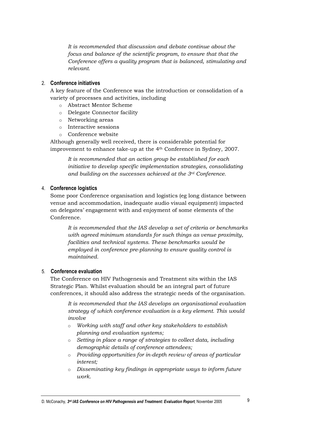It is recommended that discussion and debate continue about the focus and balance of the scientific program, to ensure that that the Conference offers a quality program that is balanced, stimulating and relevant.

### 2. Conference initiatives

A key feature of the Conference was the introduction or consolidation of a variety of processes and activities, including

- o Abstract Mentor Scheme
- o Delegate Connector facility
- o Networking areas
- o Interactive sessions
- o Conference website

Although generally well received, there is considerable potential for improvement to enhance take-up at the 4<sup>th</sup> Conference in Sydney, 2007.

It is recommended that an action group be established for each initiative to develop specific implementation strategies, consolidating and building on the successes achieved at the  $3<sup>rd</sup>$  Conference.

### 4. Conference logistics

Some poor Conference organisation and logistics (eg long distance between venue and accommodation, inadequate audio visual equipment) impacted on delegates' engagement with and enjoyment of some elements of the Conference.

It is recommended that the IAS develop a set of criteria or benchmarks with agreed minimum standards for such things as venue proximity, facilities and technical systems. These benchmarks would be employed in conference pre-planning to ensure quality control is maintained.

### 5. Conference evaluation

The Conference on HIV Pathogenesis and Treatment sits within the IAS Strategic Plan. Whilst evaluation should be an integral part of future conferences, it should also address the strategic needs of the organisation.

It is recommended that the IAS develops an organisational evaluation strategy of which conference evaluation is a key element. This would  $involve$ 

- o Working with staff and other key stakeholders to establish planning and evaluation systems;
- o Setting in place a range of strategies to collect data, including demographic details of conference attendees;
- o Providing opportunities for in-depth review of areas of particular interest:
- o Disseminating key findings in appropriate ways to inform future work.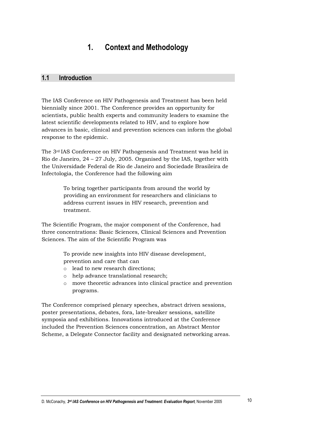#### $\mathbf 1$ **Context and Methodology**

#### $1.1$ **Introduction**

The IAS Conference on HIV Pathogenesis and Treatment has been held biennially since 2001. The Conference provides an opportunity for scientists, public health experts and community leaders to examine the latest scientific developments related to HIV, and to explore how advances in basic, clinical and prevention sciences can inform the global response to the epidemic.

The 3<sup>rd</sup> IAS Conference on HIV Pathogenesis and Treatment was held in Rio de Janeiro,  $24 - 27$  July, 2005. Organised by the IAS, together with the Universidade Federal de Rio de Janeiro and Sociedade Brasileira de Infectologia, the Conference had the following aim

> To bring together participants from around the world by providing an environment for researchers and clinicians to address current issues in HIV research, prevention and treatment.

The Scientific Program, the major component of the Conference, had three concentrations: Basic Sciences, Clinical Sciences and Prevention Sciences. The aim of the Scientific Program was

> To provide new insights into HIV disease development, prevention and care that can

- o lead to new research directions;
- o help advance translational research;
- move theoretic advances into clinical practice and prevention  $\circ$ programs.

The Conference comprised plenary speeches, abstract driven sessions, poster presentations, debates, fora, late-breaker sessions, satellite symposia and exhibitions. Innovations introduced at the Conference included the Prevention Sciences concentration, an Abstract Mentor Scheme, a Delegate Connector facility and designated networking areas.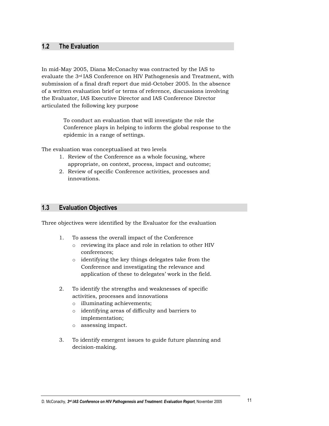#### $1.2$ **The Evaluation**

In mid-May 2005, Diana McConachy was contracted by the IAS to evaluate the 3<sup>rd</sup> IAS Conference on HIV Pathogenesis and Treatment, with submission of a final draft report due mid-October 2005. In the absence of a written evaluation brief or terms of reference, discussions involving the Evaluator, IAS Executive Director and IAS Conference Director articulated the following key purpose

> To conduct an evaluation that will investigate the role the Conference plays in helping to inform the global response to the epidemic in a range of settings.

The evaluation was conceptualised at two levels

- 1. Review of the Conference as a whole focusing, where appropriate, on context, process, impact and outcome;
- 2. Review of specific Conference activities, processes and innovations.

#### $1.3$ **Evaluation Objectives**

Three objectives were identified by the Evaluator for the evaluation

- $1.$ To assess the overall impact of the Conference
	- o reviewing its place and role in relation to other HIV conferences:
	- o identifying the key things delegates take from the Conference and investigating the relevance and application of these to delegates' work in the field.
- $\overline{2}$ To identify the strengths and weaknesses of specific activities, processes and innovations
	- o illuminating achievements;
	- o identifying areas of difficulty and barriers to implementation;
	- o assessing impact.
- 3. To identify emergent issues to guide future planning and decision-making.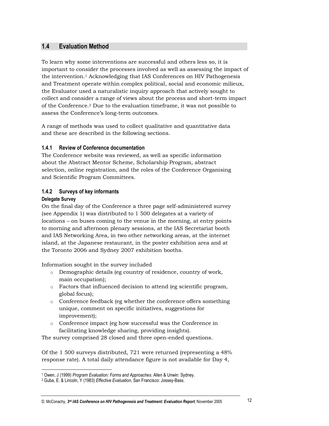#### $1.4$ **Evaluation Method**

To learn why some interventions are successful and others less so, it is important to consider the processes involved as well as assessing the impact of the intervention.<sup>1</sup> Acknowledging that IAS Conferences on HIV Pathogenesis and Treatment operate within complex political, social and economic milieux, the Evaluator used a naturalistic inquiry approach that actively sought to collect and consider a range of views about the process and short-term impact of the Conference.<sup>2</sup> Due to the evaluation timeframe, it was not possible to assess the Conference's long-term outcomes.

A range of methods was used to collect qualitative and quantitative data and these are described in the following sections.

#### $1.4.1$ **Review of Conference documentation**

The Conference website was reviewed, as well as specific information about the Abstract Mentor Scheme, Scholarship Program, abstract selection, online registration, and the roles of the Conference Organising and Scientific Program Committees.

### 1.4.2 Surveys of key informants

### **Delegate Survey**

On the final day of the Conference a three page self-administered survey (see Appendix 1) was distributed to 1 500 delegates at a variety of locations – on buses coming to the venue in the morning, at entry points to morning and afternoon plenary sessions, at the IAS Secretariat booth and IAS Networking Area, in two other networking areas, at the internet island, at the Japanese restaurant, in the poster exhibition area and at the Toronto 2006 and Sydney 2007 exhibition booths.

Information sought in the survey included

- o Demographic details (eg country of residence, country of work, main occupation);
- o Factors that influenced decision to attend (eg scientific program, global focus);
- Conference feedback (eg whether the conference offers something  $\circ$ unique, comment on specific initiatives, suggestions for improvement);
- Conference impact (eg how successful was the Conference in  $\circ$ facilitating knowledge sharing, providing insights).

The survey comprised 28 closed and three open-ended questions.

Of the 1 500 surveys distributed, 721 were returned (representing a 48% response rate). A total daily attendance figure is not available for Day 4,

<sup>&</sup>lt;sup>1</sup> Owen, J (1999) Program Evaluation: Forms and Approaches. Allen & Unwin: Sydney.

<sup>&</sup>lt;sup>2</sup> Guba, E. & Lincoln, Y (1983) Effective Evaluation, San Francisco: Jossey-Bass.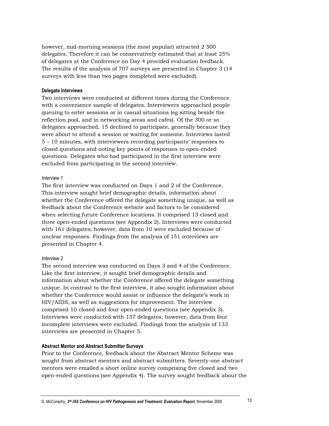however, mid-morning sessions (the most popular) attracted 2 500 delegates. Therefore it can be conservatively estimated that at least 25% of delegates at the Conference on Day 4 provided evaluation feedback. The results of the analysis of 707 surveys are presented in Chapter 3 (14) surveys with less than two pages completed were excluded).

### **Delegate Interviews**

Two interviews were conducted at different times during the Conference with a convenience sample of delegates. Interviewers approached people queuing to enter sessions or in casual situations (eg sitting beside the reflection pool, and in networking areas and cafes). Of the 300 or so delegates approached, 15 declined to participate, generally because they were about to attend a session or waiting for someone. Interviews lasted 5 – 10 minutes, with interviewers recording participants' responses to closed questions and noting key points of responses to open-ended questions. Delegates who had participated in the first interview were excluded from participating in the second interview.

### Interview 1

The first interview was conducted on Days 1 and 2 of the Conference. This interview sought brief demographic details, information about whether the Conference offered the delegate something unique, as well as feedback about the Conference website and factors to be considered when selecting future Conference locations. It comprised 13 closed and three open-ended questions (see Appendix 2). Interviews were conducted with 161 delegates; however, data from 10 were excluded because of unclear responses. Findings from the analysis of 151 interviews are presented in Chapter 4.

### Interview 2

The second interview was conducted on Days 3 and 4 of the Conference. Like the first interview, it sought brief demographic details and information about whether the Conference offered the delegate something unique. In contrast to the first interview, it also sought information about whether the Conference would assist or influence the delegate's work in HIV/AIDS, as well as suggestions for improvement. The interview comprised 10 closed and four open-ended questions (see Appendix 3). Interviews were conducted with 137 delegates; however, data from four incomplete interviews were excluded. Findings from the analysis of 133 interviews are presented in Chapter 5.

### **Abstract Mentor and Abstract Submitter Surveys**

Prior to the Conference, feedback about the Abstract Mentor Scheme was sought from abstract mentors and abstract submitters. Seventy-one abstract mentors were emailed a short online survey comprising five closed and two open-ended questions (see Appendix 4). The survey sought feedback about the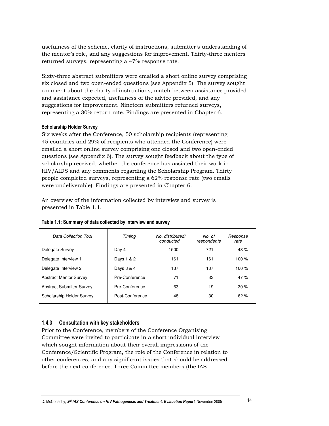usefulness of the scheme, clarity of instructions, submitter's understanding of the mentor's role, and any suggestions for improvement. Thirty-three mentors returned surveys, representing a 47% response rate.

Sixty-three abstract submitters were emailed a short online survey comprising six closed and two open-ended questions (see Appendix 5). The survey sought comment about the clarity of instructions, match between assistance provided and assistance expected, usefulness of the advice provided, and any suggestions for improvement. Nineteen submitters returned surveys, representing a 30% return rate. Findings are presented in Chapter 6.

### **Scholarship Holder Survey**

Six weeks after the Conference, 50 scholarship recipients (representing) 45 countries and 29% of recipients who attended the Conference) were emailed a short online survey comprising one closed and two open-ended questions (see Appendix 6). The survey sought feedback about the type of scholarship received, whether the conference has assisted their work in HIV/AIDS and any comments regarding the Scholarship Program. Thirty people completed surveys, representing a 62% response rate (two emails) were undeliverable). Findings are presented in Chapter 6.

An overview of the information collected by interview and survey is presented in Table 1.1.

| Data Collection Tool             | Timing          | No. distributed/<br>conducted | No. of<br>respondents | Response<br>rate |
|----------------------------------|-----------------|-------------------------------|-----------------------|------------------|
| Delegate Survey                  | Day 4           | 1500                          | 721                   | 48 $%$           |
| Delegate Interview 1             | Days 1 & 2      | 161                           | 161                   | 100 $%$          |
| Delegate Interview 2             | Days 3 & 4      | 137                           | 137                   | 100 $%$          |
| <b>Abstract Mentor Survey</b>    | Pre-Conference  | 71                            | 33                    | 47%              |
| <b>Abstract Submitter Survey</b> | Pre-Conference  | 63                            | 19                    | 30%              |
| Scholarship Holder Survey        | Post-Conference | 48                            | 30                    | 62%              |

### Table 1.1: Summary of data collected by interview and survey

### 1.4.3 Consultation with key stakeholders

Prior to the Conference, members of the Conference Organising Committee were invited to participate in a short individual interview which sought information about their overall impressions of the Conference/Scientific Program, the role of the Conference in relation to other conferences, and any significant issues that should be addressed before the next conference. Three Committee members (the IAS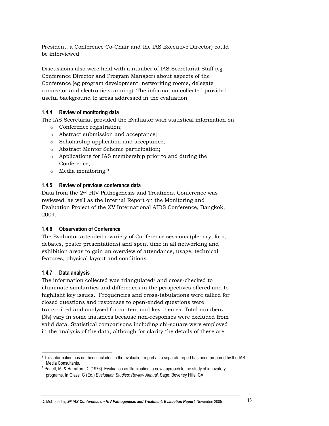President, a Conference Co-Chair and the IAS Executive Director) could be interviewed.

Discussions also were held with a number of IAS Secretariat Staff (eg) Conference Director and Program Manager) about aspects of the Conference (eg program development, networking rooms, delegate connector and electronic scanning). The information collected provided useful background to areas addressed in the evaluation.

### 1.4.4 Review of monitoring data

The IAS Secretariat provided the Evaluator with statistical information on

- o Conference registration;
- o Abstract submission and acceptance;
- Scholarship application and acceptance;
- o Abstract Mentor Scheme participation;
- o Applications for IAS membership prior to and during the Conference:
- $\circ$  Media monitoring.<sup>3</sup>

### 1.4.5 Review of previous conference data

Data from the 2<sup>nd</sup> HIV Pathogenesis and Treatment Conference was reviewed, as well as the Internal Report on the Monitoring and Evaluation Project of the XV International AIDS Conference, Bangkok, 2004.

#### **Observation of Conference**  $1.4.6$

The Evaluator attended a variety of Conference sessions (plenary, fora, debates, poster presentations) and spent time in all networking and exhibition areas to gain an overview of attendance, usage, technical features, physical layout and conditions.

#### $1.4.7$ Data analysis

The information collected was triangulated<sup>4</sup> and cross-checked to illuminate similarities and differences in the perspectives offered and to highlight key issues. Frequencies and cross-tabulations were tallied for closed questions and responses to open-ended questions were transcribed and analysed for content and key themes. Total numbers (Ns) vary in some instances because non-responses were excluded from valid data. Statistical comparisons including chi-square were employed in the analysis of the data, although for clarity the details of these are

<sup>&</sup>lt;sup>3</sup> This information has not been included in the evaluation report as a separate report has been prepared by the IAS Media Consultants.

<sup>&</sup>lt;sup>4</sup> Parlett, M. & Hamilton, D. (1976). Evaluation as Illumination: a new approach to the study of innovatory programs. In Glass, G (Ed.) Evaluation Studies: Review Annual. Sage: Beverley Hills, CA.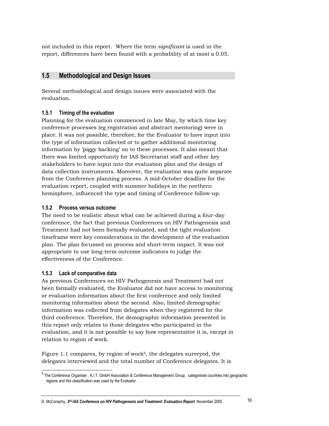not included in this report. Where the term significant is used in the report, differences have been found with a probability of at most  $\alpha$  0.05.

#### $1.5$ **Methodological and Design Issues**

Several methodological and design issues were associated with the evaluation.

#### Timing of the evaluation  $1.5.1$

Planning for the evaluation commenced in late May, by which time key conference processes (eg registration and abstract mentoring) were in place. It was not possible, therefore, for the Evaluator to have input into the type of information collected or to gather additional monitoring information by 'piggy backing' on to these processes. It also meant that there was limited opportunity for IAS Secretariat staff and other key stakeholders to have input into the evaluation plan and the design of data collection instruments. Moreover, the evaluation was quite separate from the Conference planning process. A mid-October deadline for the evaluation report, coupled with summer holidays in the northern hemisphere, influenced the type and timing of Conference follow-up.

### 1.5.2 Process versus outcome

The need to be realistic about what can be achieved during a four-day conference, the fact that previous Conferences on HIV Pathogenesis and Treatment had not been formally evaluated, and the tight evaluation time frame were key considerations in the development of the evaluation plan. The plan focussed on process and short-term impact. It was not appropriate to use long-term outcome indicators to judge the effectiveness of the Conference.

### 1.5.3 Lack of comparative data

As previous Conferences on HIV Pathogenesis and Treatment had not been formally evaluated, the Evaluator did not have access to monitoring or evaluation information about the first conference and only limited monitoring information about the second. Also, limited demographic information was collected from delegates when they registered for the third conference. Therefore, the demographic information presented in this report only relates to those delegates who participated in the evaluation, and it is not possible to say how representative it is, except in relation to region of work.

Figure 1.1 compares, by region of work<sup>5</sup>, the delegates surveyed, the delegates interviewed and the total number of Conference delegates. It is

<sup>&</sup>lt;sup>5</sup> The Conference Organiser, K.I.T. GmbH Association & Conference Management Group, categorised countries into geographic regions and this classification was used by the Evaluator.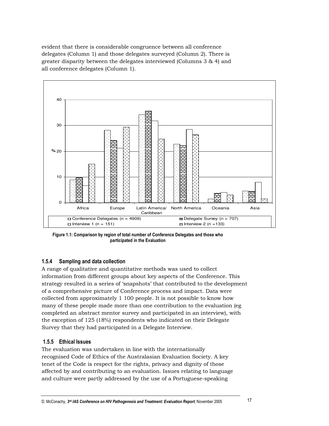evident that there is considerable congruence between all conference delegates (Column 1) and those delegates surveyed (Column 2). There is greater disparity between the delegates interviewed (Columns 3 & 4) and all conference delegates (Column 1).



Figure 1.1: Comparison by region of total number of Conference Delegates and those who participated in the Evaluatior

### 1.5.4 Sampling and data collectior

A range of qualitative and quantitative methods was used to collect information from different groups about key aspects of the Conference. This strategy resulted in a series of 'snapshots' that contributed to the development of a comprehensive picture of Conference process and impact. Data were collected from approximately 1 100 people. It is not possible to know how many of these people made more than one contribution to the evaluation (eg completed an abstract mentor survey and participated in an interview), with the exception of  $125$  (18%) respondents who indicated on their Delegate Survey that they had participated in a Delegate Interview.

### 1.5.5 Ethical Issues

The evaluation was undertaken in line with the internationally recognised Code of Ethics of the Australasian Evaluation Society. A key tenet of the Code is respect for the rights, privacy and dignity of those affected by and contributing to an evaluation. Issues relating to language and culture were partly addressed by the use of a Portuguese-speaking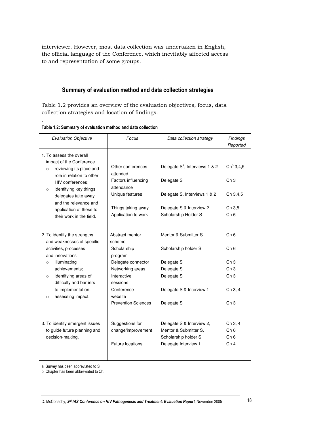interviewer. However, most data collection was undertaken in English, the official language of the Conference, which inevitably affected access to and representation of some groups.

### Summary of evaluation method and data collection strategies

Table 1.2 provides an overview of the evaluation objectives, focus, data collection strategies and location of findings.

| <b>Evaluation Objective</b>                                                                                             | Focus                                       | Data collection strategy                         | Findings<br>Reported               |
|-------------------------------------------------------------------------------------------------------------------------|---------------------------------------------|--------------------------------------------------|------------------------------------|
| 1. To assess the overall<br>impact of the Conference<br>reviewing its place and<br>$\circ$<br>role in relation to other | Other conferences<br>attended               | Delegate S <sup>a</sup> , Interviews 1 & 2       | $Ch^b 3, 4, 5$                     |
| HIV conferences:<br>identifying key things<br>$\circ$                                                                   | Factors influencing<br>attendance           | Delegate S                                       | Ch <sub>3</sub>                    |
| delegates take away<br>and the relevance and                                                                            | Unique features                             | Delegate S, Interviews 1 & 2                     | Ch 3,4,5                           |
| application of these to<br>their work in the field.                                                                     | Things taking away<br>Application to work   | Delegate S & Interview 2<br>Scholarship Holder S | Ch 3,5<br>Ch <sub>6</sub>          |
| 2. To identify the strengths                                                                                            | Abstract mentor                             | Mentor & Submitter S                             | Ch <sub>6</sub>                    |
| and weaknesses of specific<br>activities, processes<br>and innovations                                                  | scheme<br>Scholarship<br>program            | Scholarship holder S                             | Ch <sub>6</sub>                    |
| illuminating<br>$\Omega$                                                                                                | Delegate connector                          | Delegate S                                       | Ch <sub>3</sub>                    |
| achievements:<br>identifying areas of<br>$\circ$<br>difficulty and barriers                                             | Networking areas<br>Interactive<br>sessions | Delegate S<br>Delegate S                         | Ch <sub>3</sub><br>Ch <sub>3</sub> |
| to implementation;<br>assessing impact.<br>$\circ$                                                                      | Conference<br>website                       | Delegate S & Interview 1                         | Ch 3, 4                            |
|                                                                                                                         | <b>Prevention Sciences</b>                  | Delegate S                                       | Ch 3                               |
| 3. To identify emergent issues                                                                                          | Suggestions for                             | Delegate S & Interview 2,                        | Ch 3, 4                            |
| to guide future planning and                                                                                            | change/improvement                          | Mentor & Submitter S,                            | Ch <sub>6</sub>                    |
| decision-making.                                                                                                        | <b>Future locations</b>                     | Scholarship holder S.<br>Delegate Interview 1    | Ch <sub>6</sub><br>Ch <sub>4</sub> |
|                                                                                                                         |                                             |                                                  |                                    |

Table 1.2: Summary of evaluation method and data collectior

.

a. Survey has been abbreviated to S

b. Chapter has been abbreviated to Ch.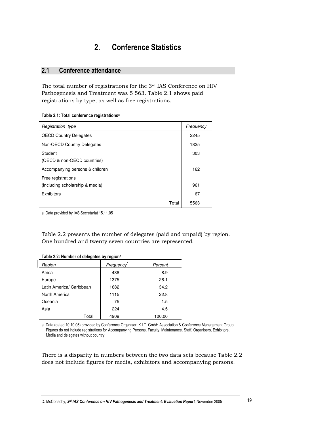#### **Conference Statistics**  $2.$

#### $2.1$ Conference attendance

The total number of registrations for the 3rd IAS Conference on HIV Pathogenesis and Treatment was 5 563. Table 2.1 shows paid registrations by type, as well as free registrations.

| Table 2.1: Total conference registrations <sup>a</sup> |
|--------------------------------------------------------|
|--------------------------------------------------------|

| Registration type                                     | Frequency |
|-------------------------------------------------------|-----------|
| <b>OECD Country Delegates</b>                         | 2245      |
| Non-OECD Country Delegates                            | 1825      |
| Student<br>(OECD & non-OECD countries)                | 303       |
| Accompanying persons & children                       | 162       |
| Free registrations<br>(including scholarship & media) | 961       |
|                                                       |           |
| Exhibitors                                            | 67        |
| Total                                                 | 5563      |

a. Data provided by IAS Secretariat 15.11.05

Table 2.2 presents the number of delegates (paid and unpaid) by region. One hundred and twenty seven countries are represented.

| Region                   | Frequency | Percent |
|--------------------------|-----------|---------|
| Africa                   | 438       | 8.9     |
| Europe                   | 1375      | 28.1    |
| Latin America/ Caribbean | 1682      | 34.2    |
| North America            | 1115      | 22.8    |
| Oceania                  | 75        | 1.5     |
| Asia                     | 224       | 4.5     |
| Total                    | 4909      | 100.00  |

a. Data (dated 10.10.05) provided by Conference Organiser, K.I.T. GmbH Association & Conference Management Group Figures do not include registrations for Accompanying Persons, Faculty, Maintenance, Staff, Organisers, Exhibitors, Media and delegates without country.

There is a disparity in numbers between the two data sets because Table 2.2 does not include figures for media, exhibitors and accompanying persons.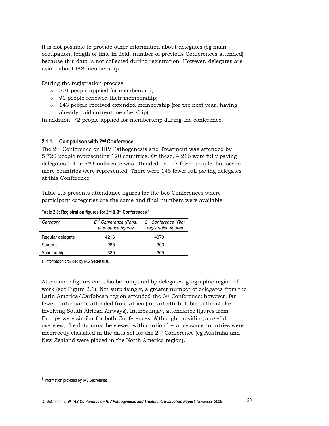It is not possible to provide other information about delegates (eg main occupation, length of time in field, number of previous Conferences attended) because this data is not collected during registration. However, delegates are asked about IAS membership.

During the registration process

- $\circ$  501 people applied for membership;
- $\circ$  91 people renewed their membership;
- $\circ$  143 people received extended membership (for the next year, having already paid current membership).

In addition, 72 people applied for membership during the conference.

#### $2.1.1$ **Comparison with 2nd Conference**

The 2<sup>nd</sup> Conference on HIV Pathogenesis and Treatment was attended by 5 720 people representing 120 countries. Of these, 4 216 were fully paying delegates.<sup>6</sup> The 3<sup>rd</sup> Conference was attended by 157 fewer people, but seven more countries were represented. There were 146 fewer full paying delegates at this Conference.

Table 2.3 presents attendance figures for the two Conferences where participant categories are the same and final numbers were available.

### Table 2.3: Registration figures for 2<sup>nd</sup> & 3<sup>rd</sup> Conferences<sup>a</sup>

| Category         | 2 <sup>nd</sup> Conference (Paris)<br>attendance figures | $3rd$ Conference (Rio)<br>registration figures |
|------------------|----------------------------------------------------------|------------------------------------------------|
| Regular delegate | 4216                                                     | 4070                                           |
| Student          | 288                                                      | 303                                            |
| Scholarship      | 380                                                      | 205                                            |

a. Information provided by IAS Secretariat.

Attendance figures can also be compared by delegates' geographic region of work (see Figure 2.1). Not surprisingly, a greater number of delegates from the Latin America/Caribbean region attended the  $3<sup>rd</sup>$  Conference; however, far fewer participants attended from Africa (in part attributable to the strike involving South African Airways). Interestingly, attendance figures from Europe were similar for both Conferences. Although providing a useful overview, the data must be viewed with caution because some countries were incorrectly classified in the data set for the  $2<sup>nd</sup>$  Conference (eg Australia and New Zealand were placed in the North America region).

<sup>&</sup>lt;sup>6</sup> Information provided by IAS Secretariat.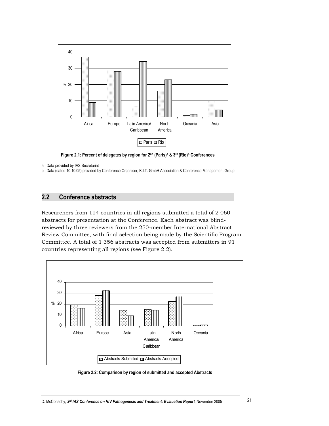

Figure 2.1: Percent of delegates by region for 2nd (Paris)<sup>a</sup> & 3rd (Rio)<sup>b</sup> Conferences

a. Data provided by IAS Secretariat

b. Data (dated 10.10.05) provided by Conference Organiser, K.I.T. GmbH Association & Conference Management Group

#### $2.2$ **Conference abstracts**

Researchers from 114 countries in all regions submitted a total of 2 060 abstracts for presentation at the Conference. Each abstract was blindreviewed by three reviewers from the 250-member International Abstract Review Committee, with final selection being made by the Scientific Program Committee. A total of 1 356 abstracts was accepted from submitters in 91 countries representing all regions (see Figure 2.2).



Figure 2.2: Comparison by region of submitted and accepted Abstracts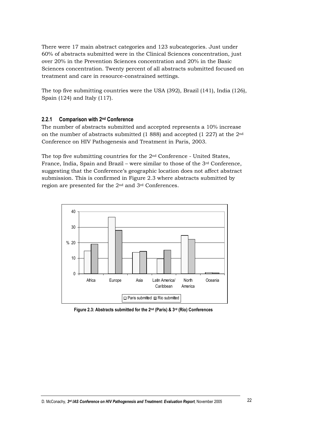There were 17 main abstract categories and 123 subcategories. Just under 60% of abstracts submitted were in the Clinical Sciences concentration, just over 20% in the Prevention Sciences concentration and 20% in the Basic Sciences concentration. Twenty percent of all abstracts submitted focused on treatment and care in resource-constrained settings.

The top five submitting countries were the USA  $(392)$ , Brazil  $(141)$ , India  $(126)$ , Spain (124) and Italy (117).

#### $2.2.1$ Comparison with 2<sup>nd</sup> Conference

The number of abstracts submitted and accepted represents a 10% increase on the number of abstracts submitted  $(1\ 888)$  and accepted  $(1\ 227)$  at the  $2<sup>nd</sup>$ Conference on HIV Pathogenesis and Treatment in Paris, 2003.

The top five submitting countries for the 2<sup>nd</sup> Conference - United States, France, India, Spain and Brazil – were similar to those of the 3rd Conference, suggesting that the Conference's geographic location does not affect abstract submission. This is confirmed in Figure 2.3 where abstracts submitted by region are presented for the 2<sup>nd</sup> and 3<sup>rd</sup> Conferences.



Figure 2.3: Abstracts submitted for the 2<sup>nd</sup> (Paris) & 3<sup>rd</sup> (Rio) Conferences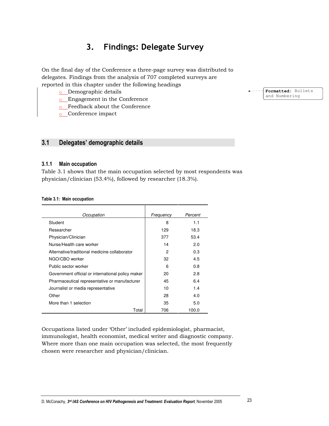#### 3. **Findings: Delegate Survey**

On the final day of the Conference a three-page survey was distributed to delegates. Findings from the analysis of 707 completed surveys are reported in this chapter under the following headings

- o Demographic details
- **Engagement** in the Conference
- **Executary** Feedback about the Conference
- o Conference impact

#### $3.1$ Delegates' demographic details

#### $3.1.1$ **Main occupation**

Table 3.1 shows that the main occupation selected by most respondents was physician/clinician (53.4%), followed by researcher (18.3%).

### Table 3.1: Main occupation

| Occupation                                        | Frequency | Percent |
|---------------------------------------------------|-----------|---------|
| Student                                           | 8         | 1.1     |
| Researcher                                        | 129       | 18.3    |
| Physician/Clinician                               | 377       | 53.4    |
| Nurse/Health care worker                          | 14        | 2.0     |
| Alternative/traditional medicine collaborator     | 2         | 0.3     |
| NGO/CBO worker                                    | 32        | 4.5     |
| Public sector worker                              | 6         | 0.8     |
| Government official or international policy maker | 20        | 2.8     |
| Pharmaceutical representative or manufacturer     | 45        | 6.4     |
| Journalist or media representative                | 10        | 1.4     |
| Other                                             | 28        | 4.0     |
| More than 1 selection                             | 35        | 5.0     |
| Total                                             | 706       | 100.0   |

Occupations listed under 'Other' included epidemiologist, pharmacist, immunologist, health economist, medical writer and diagnostic company. Where more than one main occupation was selected, the most frequently chosen were researcher and physician/clinician.

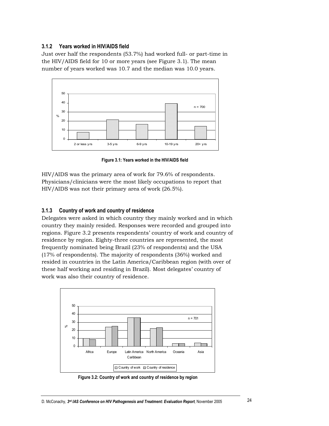#### $3.1.2$ Years worked in HIV/AIDS field

Just over half the respondents (53.7%) had worked full- or part-time in the HIV/AIDS field for 10 or more years (see Figure 3.1). The mean number of years worked was 10.7 and the median was 10.0 years.



Figure 3.1: Years worked in the HIV/AIDS field

HIV/AIDS was the primary area of work for 79.6% of respondents. Physicians/clinicians were the most likely occupations to report that HIV/AIDS was not their primary area of work (26.5%).

#### Country of work and country of residence  $3.1.3$

Delegates were asked in which country they mainly worked and in which country they mainly resided. Responses were recorded and grouped into regions. Figure 3.2 presents respondents' country of work and country of residence by region. Eighty-three countries are represented, the most frequently nominated being Brazil (23% of respondents) and the USA (17% of respondents). The majority of respondents (36%) worked and resided in countries in the Latin America/Caribbean region (with over of these half working and residing in Brazil). Most delegates' country of work was also their country of residence.



Figure 3.2: Country of work and country of residence by region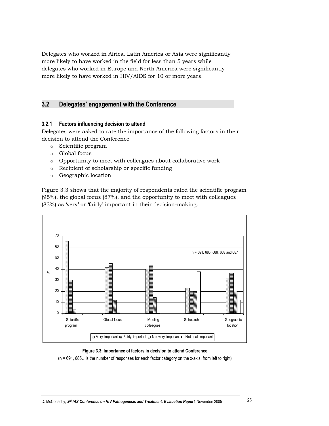Delegates who worked in Africa, Latin America or Asia were significantly more likely to have worked in the field for less than 5 years while delegates who worked in Europe and North America were significantly more likely to have worked in HIV/AIDS for 10 or more years.

#### $3.2<sub>2</sub>$ Delegates' engagement with the Conference

### 3.2.1 Factors influencing decision to attend

Delegates were asked to rate the importance of the following factors in their decision to attend the Conference

- o Scientific program
- o Global focus
- o Opportunity to meet with colleagues about collaborative work
- o Recipient of scholarship or specific funding
- $\circ$  Geographic location

Figure 3.3 shows that the majority of respondents rated the scientific program  $(95%)$ , the global focus  $(87%)$ , and the opportunity to meet with colleagues (83%) as 'very' or 'fairly' important in their decision-making.



### Figure 3.3: Importance of factors in decision to attend Conference

(n = 691, 685... is the number of responses for each factor category on the x-axis, from left to right)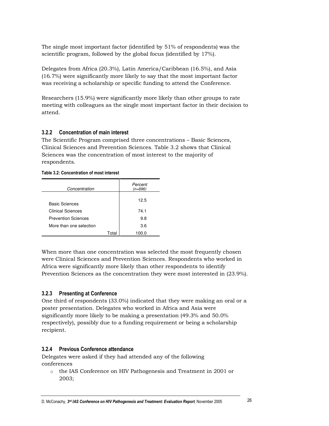The single most important factor (identified by 51% of respondents) was the scientific program, followed by the global focus (identified by 17%).

Delegates from Africa (20.3%), Latin America/Caribbean (16.5%), and Asia (16.7%) were significantly more likely to say that the most important factor was receiving a scholarship or specific funding to attend the Conference.

Researchers (15.9%) were significantly more likely than other groups to rate meeting with colleagues as the single most important factor in their decision to attend.

### 3.2.2 Concentration of main interest

The Scientific Program comprised three concentrations – Basic Sciences, Clinical Sciences and Prevention Sciences. Table 3.2 shows that Clinical Sciences was the concentration of most interest to the maiority of respondents.

### Table 3.2: Concentration of most interest

| Concentration              |       | Percent<br>$(n=696)$ |
|----------------------------|-------|----------------------|
| <b>Basic Sciences</b>      |       | 12.5                 |
| Clinical Sciences          |       | 74.1                 |
| <b>Prevention Sciences</b> |       | 9.8                  |
| More than one selection    |       | 3.6                  |
|                            | Γ∩ta' | 100.0                |

When more than one concentration was selected the most frequently chosen were Clinical Sciences and Prevention Sciences. Respondents who worked in Africa were significantly more likely than other respondents to identify Prevention Sciences as the concentration they were most interested in (23.9%).

### 3.2.3 Presenting at Conference

One third of respondents (33.0%) indicated that they were making an oral or a poster presentation. Delegates who worked in Africa and Asia were significantly more likely to be making a presentation (49.3% and 50.0%) respectively), possibly due to a funding requirement or being a scholarship recipient.

### 3.2.4 Previous Conference attendance

Delegates were asked if they had attended any of the following conferences

 $\circ$  the IAS Conference on HIV Pathogenesis and Treatment in 2001 or 2003;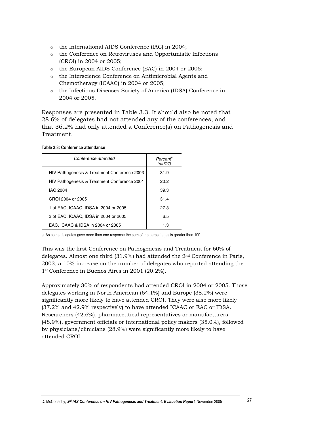- o the International AIDS Conference (IAC) in 2004;
- o the Conference on Retroviruses and Opportunistic Infections (CROI) in 2004 or 2005;
- o the European AIDS Conference (EAC) in 2004 or 2005;
- o the Interscience Conference on Antimicrobial Agents and Chemotherapy (ICAAC) in 2004 or 2005;
- o the Infectious Diseases Society of America (IDSA) Conference in 2004 or 2005.

Responses are presented in Table 3.3. It should also be noted that 28.6% of delegates had not attended any of the conferences, and that 36.2% had only attended a Conference(s) on Pathogenesis and Treatment.

### Table 3.3: Conference attendance

| Conference attended                          | Percent <sup>a</sup><br>$(n=707)$ |
|----------------------------------------------|-----------------------------------|
| HIV Pathogenesis & Treatment Conference 2003 | 31.9                              |
| HIV Pathogenesis & Treatment Conference 2001 | 20.2                              |
| IAC 2004                                     | 39.3                              |
| CROI 2004 or 2005                            | 31.4                              |
| 1 of EAC. ICAAC. IDSA in 2004 or 2005        | 27.3                              |
| 2 of EAC. ICAAC. IDSA in 2004 or 2005        | 6.5                               |
| EAC. ICAAC & IDSA in 2004 or 2005            | 1.3                               |

a. As some delegates gave more than one response the sum of the percentages is greater than 100.

This was the first Conference on Pathogenesis and Treatment for 60% of delegates. Almost one third  $(31.9\%)$  had attended the  $2<sup>nd</sup>$  Conference in Paris, 2003, a 10% increase on the number of delegates who reported attending the 1st Conference in Buenos Aires in 2001 (20.2%).

Approximately 30% of respondents had attended CROI in 2004 or 2005. Those delegates working in North American (64.1%) and Europe (38.2%) were significantly more likely to have attended CROI. They were also more likely (37.2% and 42.9% respectively) to have attended ICAAC or EAC or IDSA. Researchers (42.6%), pharmaceutical representatives or manufacturers (48.9%), government officials or international policy makers (35.0%), followed by physicians/clinicians (28.9%) were significantly more likely to have attended CROI.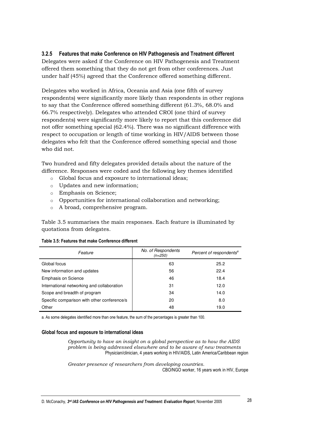### 3.2.5 Features that make Conference on HIV Pathogenesis and Treatment different

Delegates were asked if the Conference on HIV Pathogenesis and Treatment offered them something that they do not get from other conferences. Just under half (45%) agreed that the Conference offered something different.

Delegates who worked in Africa, Oceania and Asia (one fifth of survey respondents) were significantly more likely than respondents in other regions to say that the Conference offered something different (61.3%, 68.0% and 66.7% respectively). Delegates who attended CROI (one third of survey respondents) were significantly more likely to report that this conference did not offer something special (62.4%). There was no significant difference with respect to occupation or length of time working in HIV/AIDS between those delegates who felt that the Conference offered something special and those who did not.

Two hundred and fifty delegates provided details about the nature of the difference. Responses were coded and the following key themes identified

- o Global focus and exposure to international ideas;
- o Updates and new information;
- o Emphasis on Science;
- o Opportunities for international collaboration and networking;
- o A broad, comprehensive program.

Table 3.5 summarises the main responses. Each feature is illuminated by quotations from delegates.

| Feature                                     | No. of Respondents<br>$(n=250)$ | Percent of respondents <sup>a</sup> |
|---------------------------------------------|---------------------------------|-------------------------------------|
| Global focus                                | 63                              | 25.2                                |
| New information and updates                 | 56                              | 22.4                                |
| <b>Emphasis on Science</b>                  | 46                              | 18.4                                |
| International networking and collaboration  | 31                              | 12.0                                |
| Scope and breadth of program                | 34                              | 14.0                                |
| Specific comparison with other conference/s | 20                              | 8.0                                 |
| Other                                       | 48                              | 19.0                                |

### Table 3.5: Features that make Conference different

a. As some delegates identified more than one feature, the sum of the percentages is greater than 100.

### Global focus and exposure to international ideas

Opportunity to have an insight on a global perspective as to how the AIDS problem is being addressed elsewhere and to be aware of new treatments Physician/clinician, 4 years working in HIV/AIDS, Latin America/Caribbean region

Greater presence of researchers from developing countries. CBO/NGO worker, 16 years work in HIV, Europe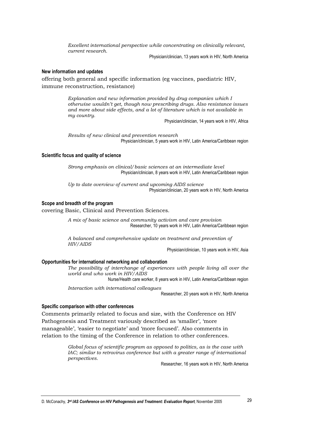Excellent international perspective while concentrating on clinically relevant, current research.

Physician/clinician, 13 years work in HIV, North America

### New information and updates

offering both general and specific information (eg vaccines, paediatric HIV, immune reconstruction, resistance)

> Explanation and new information provided by drug companies which I otherwise wouldn't get, though now prescribing drugs. Also resistance issues and more about side effects, and a lot of literature which is not available in my country.

Physician/clinician, 14 years work in HIV, Africa

Results of new clinical and prevention research Physician/clinician, 5 years work in HIV, Latin America/Caribbean region

### Scientific focus and quality of science

Strong emphasis on clinical/basic sciences at an intermediate level Physician/clinician, 8 years work in HIV, Latin America/Caribbean region

Up to date overview of current and upcoming AIDS science Physician/clinician, 20 years work in HIV, North America

### Scope and breadth of the program

covering Basic, Clinical and Prevention Sciences.

A mix of basic science and community activism and care provision Researcher, 10 years work in HIV, Latin America/Caribbean region

A balanced and comprehensive update on treatment and prevention of HIV/AIDS

Physician/clinician, 10 years work in HIV, Asia

### Opportunities for international networking and collaboration

The possibility of interchange of experiences with people living all over the world and who work in HIV/AIDS

Nurse/Health care worker, 8 years work in HIV, Latin America/Caribbean region

Interaction with international colleagues

Researcher, 20 years work in HIV, North America

### Specific comparison with other conferences

Comments primarily related to focus and size, with the Conference on HIV Pathogenesis and Treatment variously described as 'smaller', 'more manageable', 'easier to negotiate' and 'more focused'. Also comments in relation to the timing of the Conference in relation to other conferences.

> Global focus of scientific program as opposed to politics, as is the case with IAC; similar to retrovirus conference but with a greater range of international perspectives.

Researcher, 16 years work in HIV, North America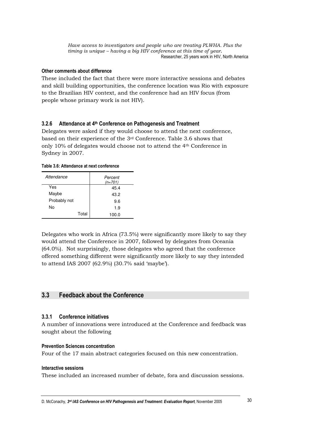Have access to investigators and people who are treating PLWHA. Plus the timing is unique  $-$  having a big HIV conference at this time of year. Researcher, 25 years work in HIV, North America

### Other comments about difference

These included the fact that there were more interactive sessions and debates and skill building opportunities, the conference location was Rio with exposure to the Brazilian HIV context, and the conference had an HIV focus (from people whose primary work is not HIV).

### 3.2.6 Attendance at 4<sup>th</sup> Conference on Pathogenesis and Treatment

Delegates were asked if they would choose to attend the next conference, based on their experience of the 3rd Conference. Table 3.6 shows that only 10% of delegates would choose not to attend the 4<sup>th</sup> Conference in Sydney in 2007.

### Table 3.6: Attendance at next conference

| Attendance   | Percent<br>$(n=701)$ |  |
|--------------|----------------------|--|
| Yes          | 45.4                 |  |
| Maybe        | 43.2                 |  |
| Probably not | 9.6                  |  |
| No           | 1.9                  |  |
|              | Total<br>100.0       |  |

Delegates who work in Africa (73.5%) were significantly more likely to say they would attend the Conference in 2007, followed by delegates from Oceania (64.0%). Not surprisingly, those delegates who agreed that the conference offered something different were significantly more likely to say they intended to attend IAS 2007 (62.9%) (30.7% said 'maybe').

#### $3.3$ **Feedback about the Conference**

### 3.3.1 Conference initiatives

A number of innovations were introduced at the Conference and feedback was sought about the following

### **Prevention Sciences concentration**

Four of the 17 main abstract categories focused on this new concentration.

### Interactive sessions

These included an increased number of debate, fora and discussion sessions.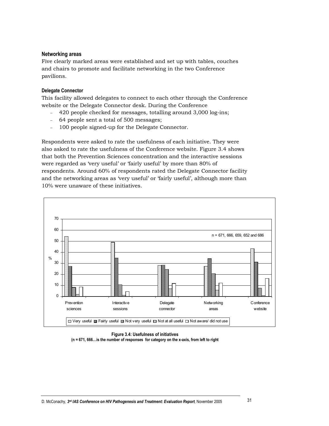### **Networking areas**

Five clearly marked areas were established and set up with tables, couches and chairs to promote and facilitate networking in the two Conference pavilions.

### **Delegate Connector**

This facility allowed delegates to connect to each other through the Conference website or the Delegate Connector desk. During the Conference

- 420 people checked for messages, totalling around 3,000 log-ins;
- 64 people sent a total of 500 messages;  $\mathbf{r}$
- 100 people signed-up for the Delegate Connector.  $\frac{1}{2}$

Respondents were asked to rate the usefulness of each initiative. They were also asked to rate the usefulness of the Conference website. Figure 3.4 shows that both the Prevention Sciences concentration and the interactive sessions were regarded as 'very useful' or 'fairly useful' by more than 80% of respondents. Around 60% of respondents rated the Delegate Connector facility and the networking areas as 'very useful' or 'fairly useful', although more than 10% were unaware of these initiatives.



Figure 3.4: Usefulness of initiatives (n = 671, 666... is the number of responses for category on the x-axis, from left to right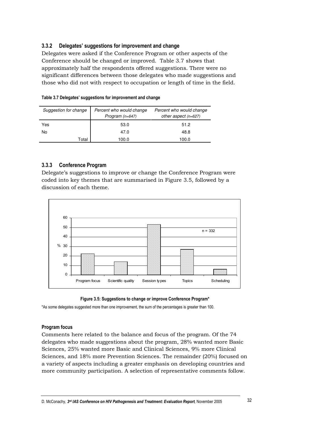### 3.3.2 Delegates' suggestions for improvement and change

Delegates were asked if the Conference Program or other aspects of the Conference should be changed or improved. Table 3.7 shows that approximately half the respondents offered suggestions. There were no significant differences between those delegates who made suggestions and those who did not with respect to occupation or length of time in the field.

| Suggestion for change | Percent who would change<br>Program $(n=647)$ | Percent who would change<br>other aspect (n=627) |
|-----------------------|-----------------------------------------------|--------------------------------------------------|
| Yes                   | 53.0                                          | 51.2                                             |
| No.                   | 47.0                                          | 48.8                                             |
| Total                 | 100.0                                         | 100.0                                            |

### Table 3.7 Delegates' suggestions for improvement and change

### 3.3.3 Conference Program

Delegate's suggestions to improve or change the Conference Program were coded into key themes that are summarised in Figure 3.5, followed by a discussion of each theme.





\*As some delegates suggested more than one improvement, the sum of the percentages is greater than 100.

### **Program focus**

Comments here related to the balance and focus of the program. Of the 74 delegates who made suggestions about the program, 28% wanted more Basic Sciences, 25% wanted more Basic and Clinical Sciences, 9% more Clinical Sciences, and 18% more Prevention Sciences. The remainder (20%) focused on a variety of aspects including a greater emphasis on developing countries and more community participation. A selection of representative comments follow.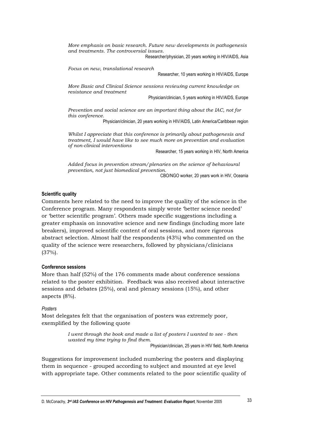More emphasis on basic research. Future new developments in pathogenesis and treatments. The controversial issues.

Researcher/physician, 20 years working in HIV/AIDS, Asia

Focus on new, translational research

Researcher, 10 years working in HIV/AIDS, Europe

More Basic and Clinical Science sessions reviewing current knowledge on resistance and treatment

Physician/clinician, 5 years working in HIV/AIDS, Europe

Prevention and social science are an important thing about the IAC, not for this conference.

Physician/clinician, 20 years working in HIV/AIDS, Latin America/Caribbean region

Whilst I appreciate that this conference is primarily about pathogenesis and treatment, I would have like to see much more on prevention and evaluation of non-clinical interventions

Researcher, 15 years working in HIV, North America

Added focus in prevention stream/plenaries on the science of behavioural prevention, not just biomedical prevention.

CBO/NGO worker, 20 years work in HIV, Oceania

### **Scientific quality**

Comments here related to the need to improve the quality of the science in the Conference program. Many respondents simply wrote 'better science needed' or 'better scientific program'. Others made specific suggestions including a greater emphasis on innovative science and new findings (including more late breakers), improved scientific content of oral sessions, and more rigorous abstract selection. Almost half the respondents (43%) who commented on the quality of the science were researchers, followed by physicians/clinicians  $(37%)$ .

### **Conference sessions**

More than half (52%) of the 176 comments made about conference sessions related to the poster exhibition. Feedback was also received about interactive sessions and debates  $(25%)$ , oral and plenary sessions  $(15%)$ , and other aspects  $(8\%)$ .

### Posters

Most delegates felt that the organisation of posters was extremely poor, exemplified by the following quote

> I went through the book and made a list of posters I wanted to see - then wasted my time trying to find them. Physician/clinician, 25 years in HIV field, North America

Suggestions for improvement included numbering the posters and displaying them in sequence - grouped according to subject and mounted at eve level with appropriate tape. Other comments related to the poor scientific quality of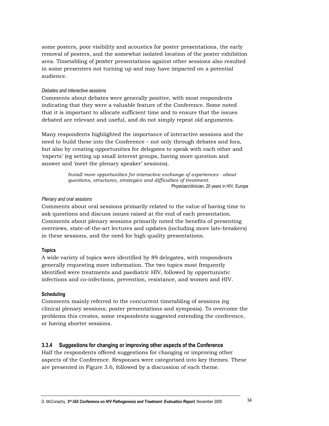some posters, poor visibility and acoustics for poster presentations, the early removal of posters, and the somewhat isolated location of the poster exhibition area. Timetabling of poster presentations against other sessions also resulted in some presenters not turning up and may have impacted on a potential audience.

### Debates and interactive sessions

Comments about debates were generally positive, with most respondents indicating that they were a valuable feature of the Conference. Some noted that it is important to allocate sufficient time and to ensure that the issues debated are relevant and useful, and do not simply repeat old arguments.

Many respondents highlighted the importance of interactive sessions and the need to build these into the Conference – not only through debates and fora, but also by creating opportunities for delegates to speak with each other and 'experts' (eg setting up small interest groups, having more question and answer and 'meet the plenary speaker' sessions).

> Install more opportunities for interactive exchange of experiences - about questions, structures, strategies and difficulties of treatment. Physician/clinician, 20 years in HIV, Europe

### Plenary and oral sessions

Comments about oral sessions primarily related to the value of having time to ask questions and discuss issues raised at the end of each presentation. Comments about plenary sessions primarily noted the benefits of presenting overviews, state-of-the-art lectures and updates (including more late-breakers) in these sessions, and the need for high quality presentations.

### **Topics**

A wide variety of topics were identified by 89 delegates, with respondents generally requesting more information. The two topics most frequently identified were treatments and paediatric HIV, followed by opportunistic infections and co-infections, prevention, resistance, and women and HIV.

### **Scheduling**

Comments mainly referred to the concurrent timetabling of sessions (eg) clinical plenary sessions; poster presentations and symposia). To overcome the problems this creates, some respondents suggested extending the conference, or having shorter sessions.

#### $3.3.4$ Suggestions for changing or improving other aspects of the Conference

Half the respondents offered suggestions for changing or improving other aspects of the Conference. Responses were categorised into key themes. These are presented in Figure 3.6, followed by a discussion of each theme.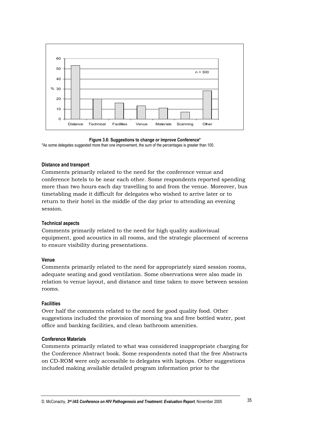

Figure 3.6: Suggestions to change or improve Conference\* \*As some delegates suggested more than one improvement, the sum of the percentages is greater than 100.

### **Distance and transport**

Comments primarily related to the need for the conference venue and conference hotels to be near each other. Some respondents reported spending more than two hours each day travelling to and from the venue. Moreover, bus timetabling made it difficult for delegates who wished to arrive later or to return to their hotel in the middle of the day prior to attending an evening session.

### **Technical aspects**

Comments primarily related to the need for high quality audiovisual equipment, good acoustics in all rooms, and the strategic placement of screens to ensure visibility during presentations.

### Venue

Comments primarily related to the need for appropriately sized session rooms, adequate seating and good ventilation. Some observations were also made in relation to venue layout, and distance and time taken to move between session rooms.

### **Facilities**

Over half the comments related to the need for good quality food. Other suggestions included the provision of morning tea and free bottled water, post office and banking facilities, and clean bathroom amenities.

### **Conference Materials**

Comments primarily related to what was considered inappropriate charging for the Conference Abstract book. Some respondents noted that the free Abstracts on CD-ROM were only accessible to delegates with laptops. Other suggestions included making available detailed program information prior to the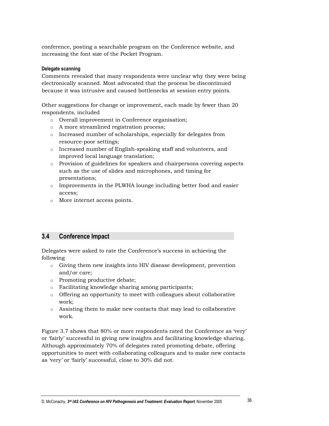conference, posting a searchable program on the Conference website, and increasing the font size of the Pocket Program.

### Delegate scanning

Comments revealed that many respondents were unclear why they were being electronically scanned. Most advocated that the process be discontinued because it was intrusive and caused bottlenecks at session entry points.

Other suggestions for change or improvement, each made by fewer than 20 respondents, included

- o Overall improvement in Conference organisation;
- o A more streamlined registration process;
- $\circ$  Increased number of scholarships, especially for delegates from resource-poor settings;
- $\circ$  Increased number of English-speaking staff and volunteers, and improved local language translation;
- $\circ$  Provision of guidelines for speakers and chairpersons covering aspects such as the use of slides and microphones, and timing for presentations;
- $\circ$  Improvements in the PLWHA lounge including better food and easier access;
- o More internet access points.

#### $3.4$ **Conference Impact**

Delegates were asked to rate the Conference's success in achieving the following

- o Giving them new insights into HIV disease development, prevention and/or care:
- o Promoting productive debate;
- o Facilitating knowledge sharing among participants;
- o Offering an opportunity to meet with colleagues about collaborative work;
- $\circ$  Assisting them to make new contacts that may lead to collaborative work.

Figure 3.7 shows that 80% or more respondents rated the Conference as 'very' or 'fairly' successful in giving new insights and facilitating knowledge sharing. Although approximately 70% of delegates rated promoting debate, offering opportunities to meet with collaborating colleagues and to make new contacts as 'very' or 'fairly' successful, close to 30% did not.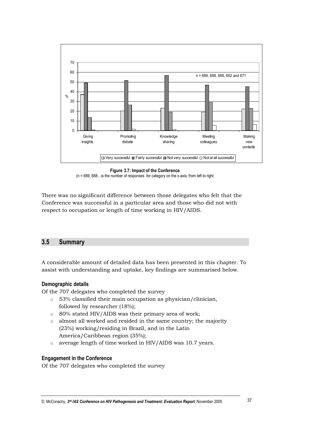

Figure 3.7: Impact of the Conference

 $(n = 689, 688...$  is the number of responses for category on the x-axis, from left to right

There was no significant difference between those delegates who felt that the Conference was successful in a particular area and those who did not with respect to occupation or length of time working in HIV/AIDS.

#### $3.5$ **Summary**

A considerable amount of detailed data has been presented in this chapter. To assist with understanding and uptake, key findings are summarised below.

## Demographic details

Of the 707 delegates who completed the survey

- o 53% classified their main occupation as physician/clinician, followed by researcher (18%);
- o 80% stated HIV/AIDS was their primary area of work;
- almost all worked and resided in the same country; the majority  $\circ$ (23%) working/residing in Brazil, and in the Latin America/Caribbean region (35%);
- average length of time worked in HIV/AIDS was 10.7 years.  $\circ$

## **Engagement in the Conference**

Of the 707 delegates who completed the survey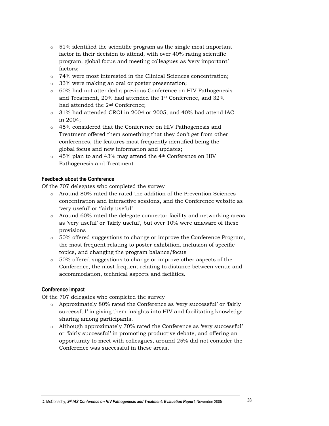- $\circ$  51% identified the scientific program as the single most important factor in their decision to attend, with over 40% rating scientific program, global focus and meeting colleagues as 'very important' factors;
- o 74% were most interested in the Clinical Sciences concentration;
- $\circ$  33% were making an oral or poster presentation;
- $\circ$  60% had not attended a previous Conference on HIV Pathogenesis and Treatment, 20% had attended the 1<sup>st</sup> Conference, and 32% had attended the 2<sup>nd</sup> Conference:
- $\circ$  31% had attended CROI in 2004 or 2005, and 40% had attend IAC in 2004:
- o 45% considered that the Conference on HIV Pathogenesis and Treatment offered them something that they don't get from other conferences, the features most frequently identified being the global focus and new information and updates;
- o 45% plan to and 43% may attend the 4<sup>th</sup> Conference on HIV Pathogenesis and Treatment

## **Feedback about the Conference**

Of the 707 delegates who completed the survey

- o Around 80% rated the rated the addition of the Prevention Sciences concentration and interactive sessions, and the Conference website as 'very useful' or 'fairly useful'
- $\circ$  Around 60% rated the delegate connector facility and networking areas as 'very useful' or 'fairly useful', but over 10% were unaware of these provisions
- 50% offered suggestions to change or improve the Conference Program, the most frequent relating to poster exhibition, inclusion of specific topics, and changing the program balance/focus
- o 50% offered suggestions to change or improve other aspects of the Conference, the most frequent relating to distance between venue and accommodation, technical aspects and facilities.

## Conference impact

Of the 707 delegates who completed the survey

- o Approximately 80% rated the Conference as 'very successful' or 'fairly successful' in giving them insights into HIV and facilitating knowledge sharing among participants.
- o Although approximately 70% rated the Conference as 'very successful' or 'fairly successful' in promoting productive debate, and offering an opportunity to meet with colleagues, around 25% did not consider the Conference was successful in these areas.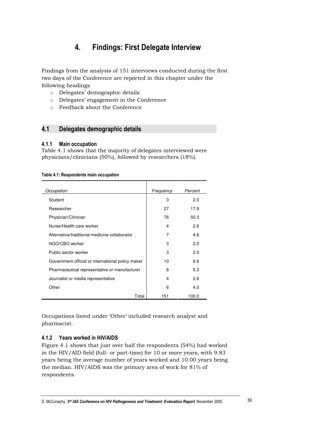#### $\overline{4}$ . **Findings: First Delegate Interview**

Findings from the analysis of 151 interviews conducted during the first two days of the Conference are reported in this chapter under the following headings

- o Delegates' demographic details
- o Delegates' engagement in the Conference
- o Feedback about the Conference

#### $4.1$ Delegates demographic details

#### $4.1.1$ **Main occupation**

Table 4.1 shows that the majority of delegates interviewed were physicians/clinicians (50%), followed by researchers (18%).

## Table 4.1: Respondents main occupation

| Occupation                                        | Frequency | Percent |
|---------------------------------------------------|-----------|---------|
| Student                                           | 3         | 2.0     |
| Researcher                                        | 27        | 17.9    |
| Physician/Clinician                               | 76        | 50.3    |
| Nurse/Health care worker                          | 4         | 2.6     |
| Alternative/traditional medicine collaborator     | 7         | 4.6     |
| NGO/CBO worker                                    | 3         | 2.0     |
| Public sector worker                              | 3         | 2.0     |
| Government official or international policy maker | 10        | 6.6     |
| Pharmaceutical representative or manufacturer     | 8         | 5.3     |
| Journalist or media representative                | 4         | 2.6     |
| Other                                             | 6         | 4.0     |
| Total                                             | 151       | 100.0   |

Occupations listed under 'Other' included research analyst and pharmacist.

## 4.1.2 Years worked in HIV/AIDS

Figure 4.1 shows that just over half the respondents (54%) had worked in the HIV/AID field (full- or part-time) for 10 or more years, with 9.83 years being the average number of years worked and 10.00 years being the median. HIV/AIDS was the primary area of work for 81% of respondents.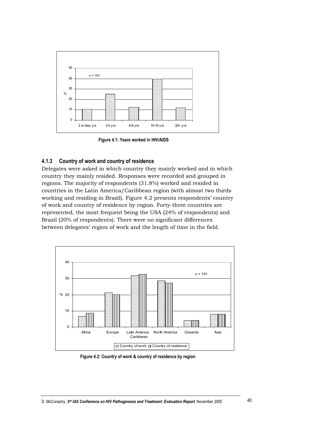

Figure 4.1: Years worked in HIV/AIDS

#### Country of work and country of residence  $4.1.3$

Delegates were asked in which country they mainly worked and in which country they mainly resided. Responses were recorded and grouped in regions. The majority of respondents (31.8%) worked and resided in countries in the Latin America/Caribbean region (with almost two thirds working and residing in Brazil). Figure 4.2 presents respondents' country of work and country of residence by region. Forty-three countries are represented, the most frequent being the USA (24% of respondents) and Brazil (20% of respondents). There were no significant differences between delegates' region of work and the length of time in the field.



Figure 4.2: Country of work & country of residence by region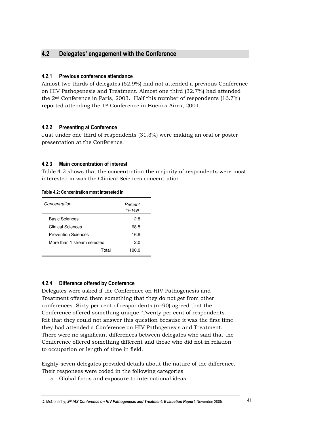#### $4.2$ Delegates' engagement with the Conference

## 4.2.1 Previous conference attendance

Almost two thirds of delegates (62.9%) had not attended a previous Conference on HIV Pathogenesis and Treatment. Almost one third (32.7%) had attended the  $2<sup>nd</sup>$  Conference in Paris, 2003. Half this number of respondents (16.7%) reported attending the 1<sup>st</sup> Conference in Buenos Aires, 2001.

## 4.2.2 Presenting at Conference

Just under one third of respondents (31.3%) were making an oral or poster presentation at the Conference.

#### Main concentration of interest  $4.2.3$

Table 4.2 shows that the concentration the majority of respondents were most interested in was the Clinical Sciences concentration.

|  | Table 4.2: Concentration most interested in |  |  |
|--|---------------------------------------------|--|--|
|--|---------------------------------------------|--|--|

| Concentration               | Percent<br>$(n=149)$ |
|-----------------------------|----------------------|
| <b>Basic Sciences</b>       | 12.8                 |
| <b>Clinical Sciences</b>    | 68.5                 |
| <b>Prevention Sciences</b>  | 16.8                 |
| More than 1 stream selected | 2.0                  |
| Total                       | 100.0                |
|                             |                      |

## 4.2.4 Difference offered by Conference

Delegates were asked if the Conference on HIV Pathogenesis and Treatment offered them something that they do not get from other conferences. Sixty per cent of respondents (n=90) agreed that the Conference offered something unique. Twenty per cent of respondents felt that they could not answer this question because it was the first time they had attended a Conference on HIV Pathogenesis and Treatment. There were no significant differences between delegates who said that the Conference offered something different and those who did not in relation to occupation or length of time in field.

Eighty-seven delegates provided details about the nature of the difference. Their responses were coded in the following categories

o Global focus and exposure to international ideas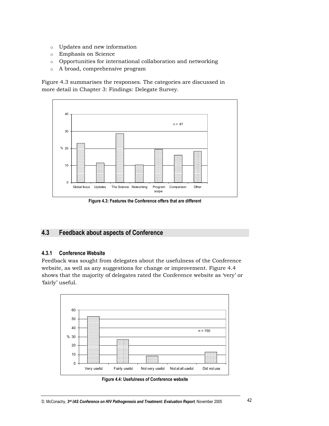- o Updates and new information
- o Emphasis on Science
- $\circ$  Opportunities for international collaboration and networking
- A broad, comprehensive program  $\circ$

Figure 4.3 summarises the responses. The categories are discussed in more detail in Chapter 3: Findings: Delegate Survey.



Figure 4.3: Features the Conference offers that are different

#### $4.3$ **Feedback about aspects of Conference**

#### $4.3.1$ **Conference Website**

Feedback was sought from delegates about the usefulness of the Conference website, as well as any suggestions for change or improvement. Figure 4.4 shows that the majority of delegates rated the Conference website as 'very' or 'fairly' useful.



Figure 4.4: Usefulness of Conference website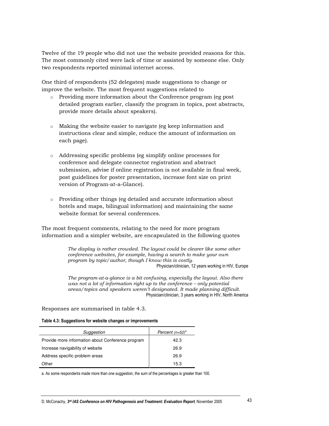Twelve of the 19 people who did not use the website provided reasons for this. The most commonly cited were lack of time or assisted by someone else. Only two respondents reported minimal internet access.

One third of respondents (52 delegates) made suggestions to change or improve the website. The most frequent suggestions related to

- Providing more information about the Conference program (eg post detailed program earlier, classify the program in topics, post abstracts, provide more details about speakers).
- $\circ$  Making the website easier to navigate (eg keep information and instructions clear and simple, reduce the amount of information on each page).
- o Addressing specific problems (eg simplify online processes for conference and delegate connector registration and abstract submission, advise if online registration is not available in final week, post guidelines for poster presentation, increase font size on print version of Program-at-a-Glance).
- Providing other things (eg detailed and accurate information about hotels and maps, bilingual information) and maintaining the same website format for several conferences.

The most frequent comments, relating to the need for more program information and a simpler website, are encapsulated in the following quotes

> The display is rather crowded. The layout could be clearer like some other conference websites, for example, having a search to make your own program by topic/author, though I know this is costly. Physician/clinician, 12 years working in HIV, Europe

> The program-at-a-glance is a bit confusing, especially the layout. Also there was not a lot of information right up to the conference  $-$  only potential areas/topics and speakers weren't designated. It made planning difficult. Physician/clinician, 3 years working in HIV, North America

Responses are summarised in table 4.3.

### Table 4.3: Suggestions for website changes or improvements

| Suggestion                                        | Percent $(n=52)^a$ |
|---------------------------------------------------|--------------------|
| Provide more information about Conference program | 42.3               |
| Increase navigability of website                  | 26.9               |
| Address specific problem areas                    | 26.9               |
| Other                                             | 15.3               |

a. As some respondents made more than one suggestion, the sum of the percentages is greater than 100.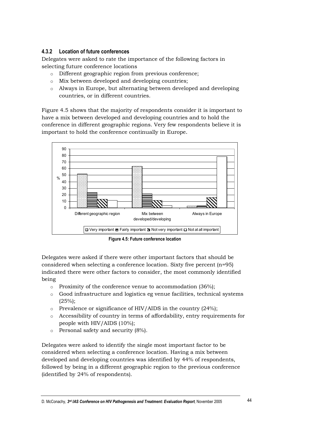## 4.3.2 Location of future conferences

Delegates were asked to rate the importance of the following factors in selecting future conference locations

- Different geographic region from previous conference;
- $\circ$  Mix between developed and developing countries;
- o Always in Europe, but alternating between developed and developing countries, or in different countries.

Figure 4.5 shows that the majority of respondents consider it is important to have a mix between developed and developing countries and to hold the conference in different geographic regions. Very few respondents believe it is important to hold the conference continually in Europe.



Figure 4.5: Future conference location

Delegates were asked if there were other important factors that should be considered when selecting a conference location. Sixty five percent  $(n=95)$ indicated there were other factors to consider, the most commonly identified being

- $\circ$  Proximity of the conference venue to accommodation (36%);
- Good infrastructure and logistics eg venue facilities, technical systems  $(25%)$ ;
- $\circ$  Prevalence or significance of HIV/AIDS in the country (24%);
- o Accessibility of country in terms of affordability, entry requirements for people with HIV/AIDS (10%);
- Personal safety and security (8%).  $\circ$

Delegates were asked to identify the single most important factor to be considered when selecting a conference location. Having a mix between developed and developing countries was identified by 44% of respondents, followed by being in a different geographic region to the previous conference (identified by 24% of respondents).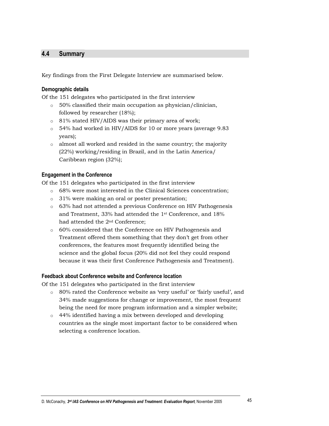#### $4.4$ **Summary**

Key findings from the First Delegate Interview are summarised below.

## **Demographic details**

Of the 151 delegates who participated in the first interview

- $\circ$  50% classified their main occupation as physician/clinician, followed by researcher (18%);
- o 81% stated HIV/AIDS was their primary area of work;
- o 54% had worked in HIV/AIDS for 10 or more years (average 9.83 years);
- o almost all worked and resided in the same country; the majority  $(22%)$  working/residing in Brazil, and in the Latin America/ Caribbean region (32%);

## **Engagement in the Conference**

Of the 151 delegates who participated in the first interview

- o 68% were most interested in the Clinical Sciences concentration;
- $\circ$  31% were making an oral or poster presentation;
- o 63% had not attended a previous Conference on HIV Pathogenesis and Treatment, 33% had attended the 1<sup>st</sup> Conference, and 18% had attended the 2<sup>nd</sup> Conference;
- o 60% considered that the Conference on HIV Pathogenesis and Treatment offered them something that they don't get from other conferences, the features most frequently identified being the science and the global focus (20% did not feel they could respond because it was their first Conference Pathogenesis and Treatment).

## Feedback about Conference website and Conference location

Of the 151 delegates who participated in the first interview

- o 80% rated the Conference website as 'very useful' or 'fairly useful', and 34% made suggestions for change or improvement, the most frequent being the need for more program information and a simpler website;
- $\circ$  44% identified having a mix between developed and developing countries as the single most important factor to be considered when selecting a conference location.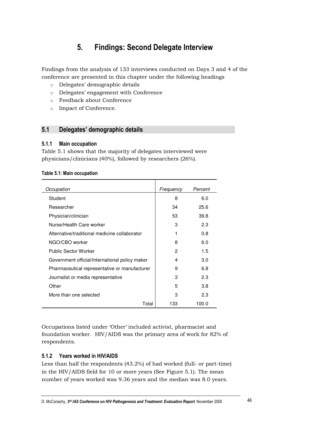#### $5<sub>1</sub>$ **Findings: Second Delegate Interview**

Findings from the analysis of 133 interviews conducted on Days 3 and 4 of the conference are presented in this chapter under the following headings

- o Delegates' demographic details
- o Delegates' engagement with Conference
- o Feedback about Conference
- o Impact of Conference.

#### $5.1$ Delegates' demographic details

#### $5.1.1$ **Main occupation**

Table 5.1 shows that the majority of delegates interviewed were physicians/clinicians (40%), followed by researchers (26%).

|  |  |  | <b>Table 5.1: Main occupation</b> |
|--|--|--|-----------------------------------|
|--|--|--|-----------------------------------|

| Occupation                                     | Frequency | Percent |
|------------------------------------------------|-----------|---------|
| Student                                        | 8         | 6.0     |
| Researcher                                     | 34        | 25.6    |
| Physician/clinician                            | 53        | 39.8    |
| Nurse/Health Care worker                       | 3         | 2.3     |
| Alternative/traditional medicine collaborator  | 1         | 0.8     |
| NGO/CBO worker                                 | 8         | 6.0     |
| <b>Public Sector Worker</b>                    | 2         | 1.5     |
| Government official/International policy maker | 4         | 3.0     |
| Pharmaceutical representative or manufacturer  | 9         | 6.8     |
| Journalist or media representative             | 3         | 2.3     |
| Other                                          | 5         | 3.8     |
| More than one selected                         | 3         | 2.3     |
| Total                                          | 133       | 100.0   |

Occupations listed under 'Other' included activist, pharmacist and foundation worker. HIV/AIDS was the primary area of work for 82% of respondents.

## 5.1.2 Years worked in HIV/AIDS

Less than half the respondents (43.2%) of had worked (full- or part-time) in the HIV/AIDS field for 10 or more years (See Figure 5.1). The mean number of years worked was 9.36 years and the median was 8.0 years.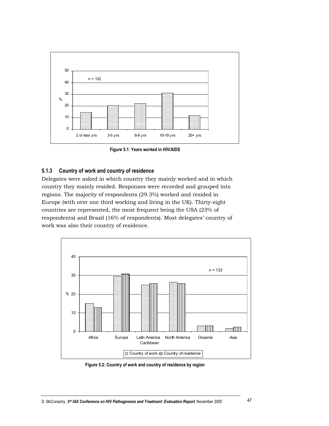

Figure 5.1: Years worked in HIV/AIDS

#### Country of work and country of residence  $5.1.3$

Delegates were asked in which country they mainly worked and in which country they mainly resided. Responses were recorded and grouped into regions. The majority of respondents (29.3%) worked and resided in Europe (with over one third working and living in the UK). Thirty-eight countries are represented, the most frequent being the USA (23% of respondents) and Brazil (16% of respondents). Most delegates' country of work was also their country of residence.



Figure 5.2: Country of work and country of residence by region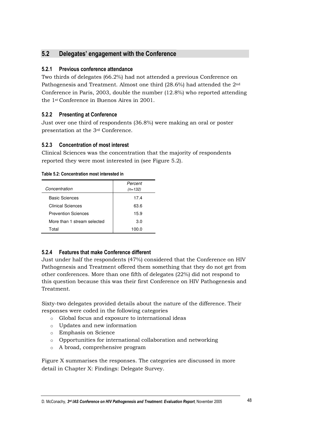#### $5.2$ Delegates' engagement with the Conference

## 5.2.1 Previous conference attendance

Two thirds of delegates (66.2%) had not attended a previous Conference on Pathogenesis and Treatment. Almost one third (28.6%) had attended the 2<sup>nd</sup> Conference in Paris, 2003, double the number  $(12.8\%)$  who reported attending the 1<sup>st</sup> Conference in Buenos Aires in 2001.

## 5.2.2 Presenting at Conference

Just over one third of respondents (36.8%) were making an oral or poster presentation at the 3<sup>rd</sup> Conference.

## 5.2.3 Concentration of most interest

Clinical Sciences was the concentration that the majority of respondents reported they were most interested in (see Figure 5.2).

| Table 5.2: Concentration most interested in |  |  |  |
|---------------------------------------------|--|--|--|
|                                             |  |  |  |

| Concentration               | Percent<br>$(n=132)$ |
|-----------------------------|----------------------|
|                             |                      |
| <b>Basic Sciences</b>       | 17.4                 |
| Clinical Sciences           | 63.6                 |
| <b>Prevention Sciences</b>  | 15.9                 |
| More than 1 stream selected | 3.0                  |
| Total                       | 100.0                |

## 5.2.4 Features that make Conference different

Just under half the respondents (47%) considered that the Conference on HIV Pathogenesis and Treatment offered them something that they do not get from other conferences. More than one fifth of delegates  $(22%)$  did not respond to this question because this was their first Conference on HIV Pathogenesis and Treatment.

Sixty-two delegates provided details about the nature of the difference. Their responses were coded in the following categories

- Global focus and exposure to international ideas
- o Updates and new information
- o Emphasis on Science
- o Opportunities for international collaboration and networking
- o A broad, comprehensive program

Figure X summarises the responses. The categories are discussed in more detail in Chapter X: Findings: Delegate Survey.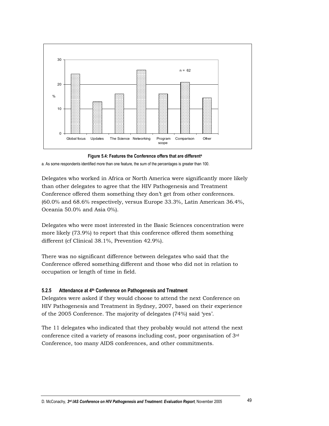

Figure 5.4: Features the Conference offers that are different<sup>a</sup>

a. As some respondents identified more than one feature, the sum of the percentages is greater than 100.

Delegates who worked in Africa or North America were significantly more likely than other delegates to agree that the HIV Pathogenesis and Treatment Conference offered them something they don't get from other conferences. (60.0% and 68.6% respectively, versus Europe 33.3%, Latin American 36.4%, Oceania 50.0% and Asia 0%).

Delegates who were most interested in the Basic Sciences concentration were more likely (73.9%) to report that this conference offered them something different (cf Clinical 38.1%, Prevention 42.9%).

There was no significant difference between delegates who said that the Conference offered something different and those who did not in relation to occupation or length of time in field.

#### Attendance at 4<sup>th</sup> Conference on Pathogenesis and Treatment  $5.2.5$

Delegates were asked if they would choose to attend the next Conference on HIV Pathogenesis and Treatment in Sydney, 2007, based on their experience of the 2005 Conference. The majority of delegates (74%) said 'yes'.

The 11 delegates who indicated that they probably would not attend the next conference cited a variety of reasons including cost, poor organisation of 3rd Conference, too many AIDS conferences, and other commitments.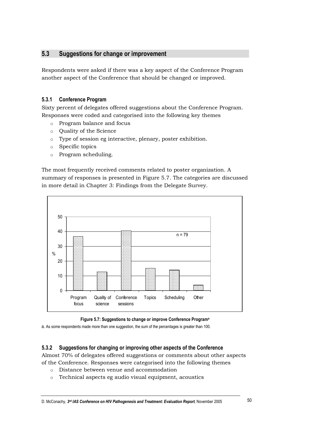#### $5.3$ Suggestions for change or improvement

Respondents were asked if there was a key aspect of the Conference Program another aspect of the Conference that should be changed or improved.

#### $5.3.1$ **Conference Program**

Sixty percent of delegates offered suggestions about the Conference Program. Responses were coded and categorised into the following key themes

- o Program balance and focus
- o Ouality of the Science
- o Type of session eg interactive, plenary, poster exhibition.
- $\circ$  Specific topics
- $\circ$  Program scheduling.

The most frequently received comments related to poster organization. A summary of responses is presented in Figure 5.7. The categories are discussed in more detail in Chapter 3: Findings from the Delegate Survey.



## Figure 5.7: Suggestions to change or improve Conference Program<sup>a</sup>

a. As some respondents made more than one suggestion, the sum of the percentages is greater than 100.

#### $5.3.2$ Suggestions for changing or improving other aspects of the Conference

Almost 70% of delegates offered suggestions or comments about other aspects of the Conference. Responses were categorised into the following themes

- o Distance between venue and accommodation
- Technical aspects eg audio visual equipment, acoustics  $\circ$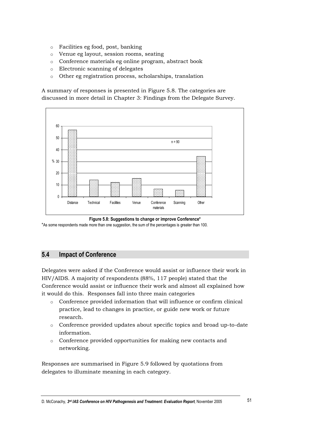- o Facilities eg food, post, banking
- o Venue eg layout, session rooms, seating
- o Conference materials eg online program, abstract book
- o Electronic scanning of delegates
- o Other eg registration process, scholarships, translation

A summary of responses is presented in Figure 5.8. The categories are discussed in more detail in Chapter 3: Findings from the Delegate Survey.



Figure 5.8: Suggestions to change or improve Conference\* \*As some respondents made more than one suggestion, the sum of the percentages is greater than 100.

#### $5.4$ **Impact of Conference**

Delegates were asked if the Conference would assist or influence their work in HIV/AIDS. A majority of respondents (88%, 117 people) stated that the Conference would assist or influence their work and almost all explained how it would do this. Responses fall into three main categories

- o Conference provided information that will influence or confirm clinical practice, lead to changes in practice, or guide new work or future research.
- o Conference provided updates about specific topics and broad up-to-date information.
- o Conference provided opportunities for making new contacts and networking.

Responses are summarised in Figure 5.9 followed by quotations from delegates to illuminate meaning in each category.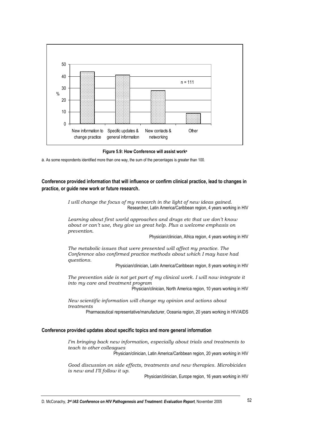

Figure 5.9: How Conference will assist work<sup>a</sup>

a. As some respondents identified more than one way, the sum of the percentages is greater than 100.

Conference provided information that will influence or confirm clinical practice, lead to changes in practice, or guide new work or future research.

> I will change the focus of my research in the light of new ideas gained. Researcher, Latin America/Caribbean region, 4 years working in HIV

Learning about first world approaches and drugs etc that we don't know about or can't use, they give us great help. Plus a welcome emphasis on prevention.

Physician/clinician, Africa region, 4 years working in HIV

The metabolic issues that were presented will affect my practice. The Conference also confirmed practice methods about which I may have had questions.

Physician/clinician, Latin America/Caribbean region, 8 years working in HIV

The prevention side is not yet part of my clinical work. I will now integrate it into my care and treatment program

Physician/clinician, North America region, 10 years working in HIV

New scientific information will change my opinion and actions about treatments

Pharmaceutical representative/manufacturer, Oceania region, 20 years working in HIV/AIDS

## Conference provided updates about specific topics and more general information

I'm bringing back new information, especially about trials and treatments to teach to other colleagues

Physician/clinician, Latin America/Caribbean region, 20 years working in HIV

Good discussion on side effects, treatments and new therapies. Microbicides is new and I'll follow it up.

Physician/clinician, Europe region, 16 years working in HIV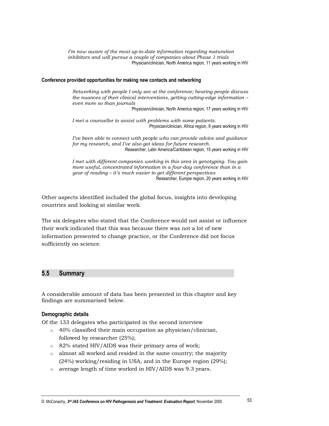I'm now aware of the most up-to-date information regarding maturation inhibitors and will pursue a couple of companies about Phase 1 trials Physician/clinician, North America region, 11 years working in HIV

## Conference provided opportunities for making new contacts and networking

Networking with people I only see at the conference; hearing people discuss the nuances of their clinical interventions, getting cutting-edge information even more so than journals

Physician/clinician, North America region, 17 years working in HIV

I met a counsellor to assist with problems with some patients. Physician/clinician, Africa region, 9 years working in HIV

I've been able to connect with people who can provide advice and guidance for my research, and I've also got ideas for future research. Researcher, Latin America/Caribbean region, 15 years working in HIV

I met with different companies working in this area in genotyping. You gain more useful, concentrated information in a four-day conference than in a year of reading – it's much easier to get different perspectives Researcher, Europe region, 20 years working in HIV

Other aspects identified included the global focus, insights into developing countries and looking at similar work.

The six delegates who stated that the Conference would not assist or influence their work indicated that this was because there was not a lot of new information presented to change practice, or the Conference did not focus sufficiently on science.

#### $5.5$ **Summary**

A considerable amount of data has been presented in this chapter and key findings are summarised below.

## **Demographic details**

Of the 133 delegates who participated in the second interview

- $\circ$  40% classified their main occupation as physician/clinician, followed by researcher  $(25\%)$ ;
- o 82% stated HIV/AIDS was their primary area of work;
- $\circ$  almost all worked and resided in the same country; the majority (24%) working/residing in USA, and in the Europe region (29%);
- $\circ$  average length of time worked in HIV/AIDS was 9.3 years.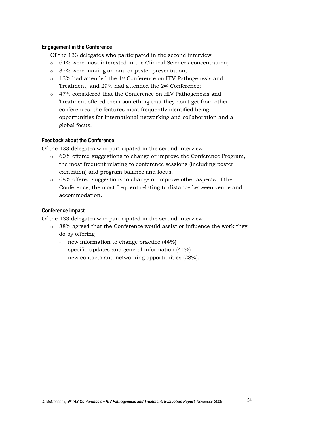## **Engagement in the Conference**

Of the 133 delegates who participated in the second interview

- o 64% were most interested in the Clinical Sciences concentration;
- o 37% were making an oral or poster presentation;
- $\circ$  13% had attended the 1<sup>st</sup> Conference on HIV Pathogenesis and Treatment, and 29% had attended the 2<sup>nd</sup> Conference;
- 47% considered that the Conference on HIV Pathogenesis and Treatment offered them something that they don't get from other conferences, the features most frequently identified being opportunities for international networking and collaboration and a global focus.

## **Feedback about the Conference**

Of the 133 delegates who participated in the second interview

- o 60% offered suggestions to change or improve the Conference Program, the most frequent relating to conference sessions (including poster) exhibition) and program balance and focus.
- $\circ$  68% offered suggestions to change or improve other aspects of the Conference, the most frequent relating to distance between venue and accommodation.

## Conference impact

Of the 133 delegates who participated in the second interview

- $\circ$  88% agreed that the Conference would assist or influence the work they do by offering
	- new information to change practice  $(44%)$
	- specific updates and general information  $(41\%)$
	- new contacts and networking opportunities (28%).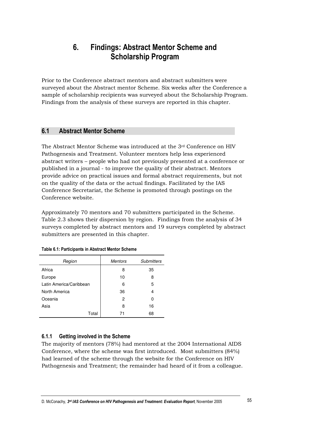## **Findings: Abstract Mentor Scheme and** 6. **Scholarship Program**

Prior to the Conference abstract mentors and abstract submitters were surveyed about the Abstract mentor Scheme. Six weeks after the Conference a sample of scholarship recipients was surveyed about the Scholarship Program. Findings from the analysis of these surveys are reported in this chapter.

#### $6.1$ **Abstract Mentor Scheme**

The Abstract Mentor Scheme was introduced at the 3rd Conference on HIV Pathogenesis and Treatment. Volunteer mentors help less experienced abstract writers – people who had not previously presented at a conference or published in a journal - to improve the quality of their abstract. Mentors provide advice on practical issues and formal abstract requirements, but not on the quality of the data or the actual findings. Facilitated by the IAS Conference Secretariat, the Scheme is promoted through postings on the Conference website.

Approximately 70 mentors and 70 submitters participated in the Scheme. Table 2.3 shows their dispersion by region. Findings from the analysis of 34 surveys completed by abstract mentors and 19 surveys completed by abstract submitters are presented in this chapter.

| Region                  | <b>Mentors</b> | <b>Submitters</b> |
|-------------------------|----------------|-------------------|
| Africa                  | 8              | 35                |
| Europe                  | 10             | 8                 |
| Latin America/Caribbean | 6              | 5                 |
| North America           | 36             | 4                 |
| Oceania                 | 2              | ი                 |
| Asia                    | 8              | 16                |
| Total                   | 71             | 68                |

|  | Table 6.1: Participants in Abstract Mentor Scheme |
|--|---------------------------------------------------|
|--|---------------------------------------------------|

#### $6.1.1$ Getting involved in the Scheme

The majority of mentors (78%) had mentored at the 2004 International AIDS Conference, where the scheme was first introduced. Most submitters (84%) had learned of the scheme through the website for the Conference on HIV Pathogenesis and Treatment; the remainder had heard of it from a colleague.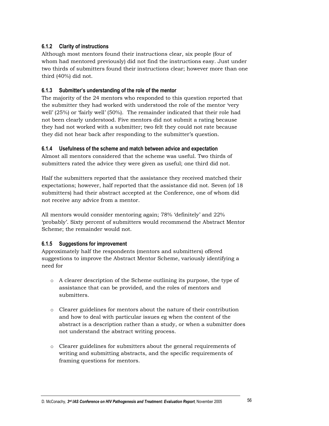#### $6.1.2$ **Clarity of instructions**

Although most mentors found their instructions clear, six people (four of whom had mentored previously) did not find the instructions easy. Just under two thirds of submitters found their instructions clear; however more than one third (40%) did not.

#### 6.1.3 Submitter's understanding of the role of the mentor

The majority of the 24 mentors who responded to this question reported that the submitter they had worked with understood the role of the mentor 'very well' (25%) or 'fairly well' (50%). The remainder indicated that their role had not been clearly understood. Five mentors did not submit a rating because they had not worked with a submitter; two felt they could not rate because they did not hear back after responding to the submitter's question.

## 6.1.4 Usefulness of the scheme and match between advice and expectation

Almost all mentors considered that the scheme was useful. Two thirds of submitters rated the advice they were given as useful; one third did not.

Half the submitters reported that the assistance they received matched their expectations; however, half reported that the assistance did not. Seven (of 18) submitters) had their abstract accepted at the Conference, one of whom did not receive any advice from a mentor.

All mentors would consider mentoring again; 78% 'definitely' and 22% 'probably'. Sixty percent of submitters would recommend the Abstract Mentor Scheme; the remainder would not.

#### $6.1.5$ **Suggestions for improvement**

Approximately half the respondents (mentors and submitters) offered suggestions to improve the Abstract Mentor Scheme, variously identifying a need for

- o A clearer description of the Scheme outlining its purpose, the type of assistance that can be provided, and the roles of mentors and submitters.
- $\circ$  Clearer guidelines for mentors about the nature of their contribution and how to deal with particular issues eg when the content of the abstract is a description rather than a study, or when a submitter does not understand the abstract writing process.
- o Clearer guidelines for submitters about the general requirements of writing and submitting abstracts, and the specific requirements of framing questions for mentors.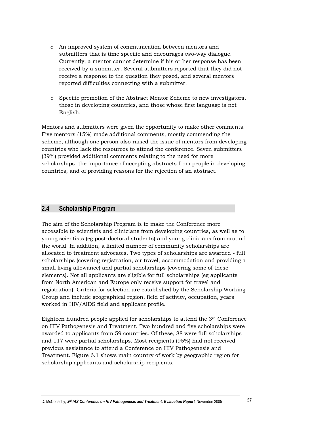- o An improved system of communication between mentors and submitters that is time specific and encourages two-way dialogue. Currently, a mentor cannot determine if his or her response has been received by a submitter. Several submitters reported that they did not receive a response to the question they posed, and several mentors reported difficulties connecting with a submitter.
- o Specific promotion of the Abstract Mentor Scheme to new investigators, those in developing countries, and those whose first language is not English.

Mentors and submitters were given the opportunity to make other comments. Five mentors (15%) made additional comments, mostly commending the scheme, although one person also raised the issue of mentors from developing countries who lack the resources to attend the conference. Seven submitters (39%) provided additional comments relating to the need for more scholarships, the importance of accepting abstracts from people in developing countries, and of providing reasons for the rejection of an abstract.

#### $2.4$ **Scholarship Program**

The aim of the Scholarship Program is to make the Conference more accessible to scientists and clinicians from developing countries, as well as to young scientists (eg post-doctoral students) and young clinicians from around the world. In addition, a limited number of community scholarships are allocated to treatment advocates. Two types of scholarships are awarded - full scholarships (covering registration, air travel, accommodation and providing a small living allowance) and partial scholarships (covering some of these elements). Not all applicants are eligible for full scholarships (eg applicants from North American and Europe only receive support for travel and registration). Criteria for selection are established by the Scholarship Working Group and include geographical region, field of activity, occupation, years worked in HIV/AIDS field and applicant profile.

Eighteen hundred people applied for scholarships to attend the  $3<sup>rd</sup>$  Conference on HIV Pathogenesis and Treatment. Two hundred and five scholarships were awarded to applicants from 59 countries. Of these, 88 were full scholarships and 117 were partial scholarships. Most recipients (95%) had not received previous assistance to attend a Conference on HIV Pathogenesis and Treatment. Figure 6.1 shows main country of work by geographic region for scholarship applicants and scholarship recipients.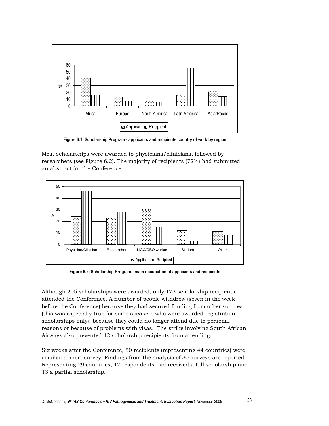

Figure 6.1: Scholarship Program - applicants and recipients country of work by region

Most scholarships were awarded to physicians/clinicians, followed by researchers (see Figure 6.2). The majority of recipients (72%) had submitted an abstract for the Conference.



Figure 6.2: Scholarship Program - main occupation of applicants and recipients

Although 205 scholarships were awarded, only 173 scholarship recipients attended the Conference. A number of people withdrew (seven in the week before the Conference) because they had secured funding from other sources (this was especially true for some speakers who were awarded registration scholarships only), because they could no longer attend due to personal reasons or because of problems with visas. The strike involving South African Airways also prevented 12 scholarship recipients from attending.

Six weeks after the Conference, 50 recipients (representing 44 countries) were emailed a short survey. Findings from the analysis of 30 surveys are reported. Representing 29 countries, 17 respondents had received a full scholarship and 13 a partial scholarship.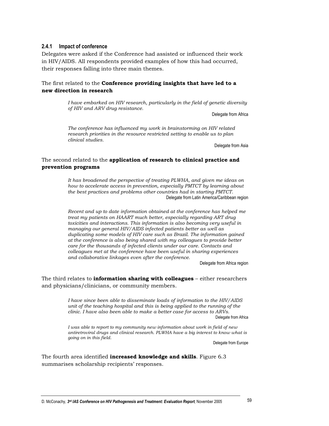#### Impact of conference  $2.4.1$

Delegates were asked if the Conference had assisted or influenced their work in HIV/AIDS. All respondents provided examples of how this had occurred, their responses falling into three main themes.

## The first related to the **Conference providing insights that have led to a** new direction in research

I have embarked on HIV research, particularly in the field of genetic diversity of HIV and ARV drug resistance.

Delegate from Africa

The conference has influenced my work in brainstorming on HIV related research priorities in the resource restricted setting to enable us to plan clinical studies.

Delegate from Asia

## The second related to the application of research to clinical practice and prevention programs

It has broadened the perspective of treating PLWHA, and given me ideas on how to accelerate access in prevention, especially PMTCT by learning about the best practices and problems other countries had in starting PMTCT. Delegate from Latin America/Caribbean region

Recent and up to date information obtained at the conference has helped me treat my patients on HAART much better, especially regarding ART drug toxicities and interactions. This information is also becoming very useful in managing our general HIV/AIDS infected patients better as well as duplicating some models of HIV care such as Brazil. The information gained at the conference is also being shared with my colleagues to provide better care for the thousands of infected clients under our care. Contacts and colleagues met at the conference have been useful in sharing experiences and collaborative linkages even after the conference.

Delegate from Africa region

The third relates to **information sharing with colleagues**  $-$  either researchers and physicians/clinicians, or community members.

> I have since been able to disseminate loads of information to the HIV/AIDS unit of the teaching hospital and this is being applied to the running of the clinic. I have also been able to make a better case for access to ARVs. Delegate from Africa

> I was able to report to my community new information about work in field of new antiretroviral drugs and clinical research. PLWHA have a big interest to know what is going on in this field.

Delegate from Europe

The fourth area identified **increased knowledge and skills**. Figure 6.3 summarises scholarship recipients' responses.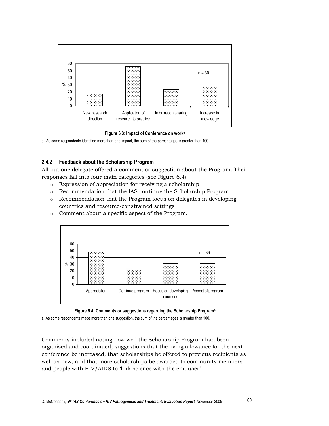

Figure 6.3: Impact of Conference on work<sup>a</sup>

a. As some respondents identified more than one impact, the sum of the percentages is greater than 100.

#### $2.4.2$ Feedback about the Scholarship Program

All but one delegate offered a comment or suggestion about the Program. Their responses fall into four main categories (see Figure 6.4)

- $\circ$  Expression of appreciation for receiving a scholarship
- Recommendation that the IAS continue the Scholarship Program
- $\circ$  Recommendation that the Program focus on delegates in developing countries and resource-constrained settings
- o Comment about a specific aspect of the Program.





a. As some respondents made more than one suggestion, the sum of the percentages is greater than 100.

Comments included noting how well the Scholarship Program had been organised and coordinated, suggestions that the living allowance for the next conference be increased, that scholarships be offered to previous recipients as well as new, and that more scholarships be awarded to community members and people with HIV/AIDS to 'link science with the end user'.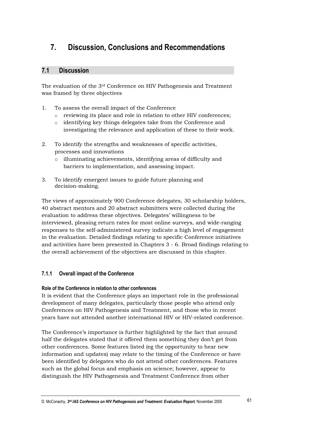#### $7<sub>1</sub>$ **Discussion, Conclusions and Recommendations**

#### $7.1$ **Discussion**

The evaluation of the 3<sup>rd</sup> Conference on HIV Pathogenesis and Treatment was framed by three objectives

- To assess the overall impact of the Conference  $\mathbf{1}$ .
	- o reviewing its place and role in relation to other HIV conferences;
	- o identifying key things delegates take from the Conference and investigating the relevance and application of these to their work.
- 2. To identify the strengths and weaknesses of specific activities, processes and innovations
	- o illuminating achievements, identifying areas of difficulty and barriers to implementation, and assessing impact.
- 3. To identify emergent issues to guide future planning and decision-making.

The views of approximately 900 Conference delegates, 30 scholarship holders, 40 abstract mentors and 20 abstract submitters were collected during the evaluation to address these objectives. Delegates' willingness to be interviewed, pleasing return rates for most online surveys, and wide-ranging responses to the self-administered survey indicate a high level of engagement in the evaluation. Detailed findings relating to specific Conference initiatives and activities have been presented in Chapters  $3 - 6$ . Broad findings relating to the overall achievement of the objectives are discussed in this chapter.

#### $7.1.1$ **Overall impact of the Conference**

## Role of the Conference in relation to other conferences

It is evident that the Conference plays an important role in the professional development of many delegates, particularly those people who attend only Conferences on HIV Pathogenesis and Treatment, and those who in recent years have not attended another international HIV or HIV-related conference.

The Conference's importance is further highlighted by the fact that around half the delegates stated that it offered them something they don't get from other conferences. Some features listed (eg the opportunity to hear new information and updates) may relate to the timing of the Conference or have been identified by delegates who do not attend other conferences. Features such as the global focus and emphasis on science; however, appear to distinguish the HIV Pathogenesis and Treatment Conference from other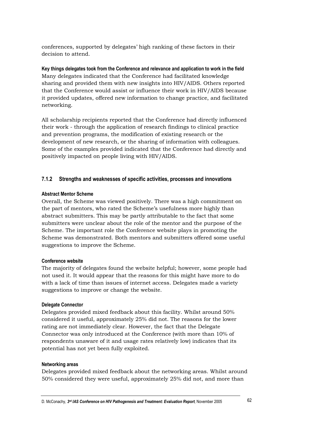conferences, supported by delegates' high ranking of these factors in their decision to attend.

Key things delegates took from the Conference and relevance and application to work in the field Many delegates indicated that the Conference had facilitated knowledge sharing and provided them with new insights into HIV/AIDS. Others reported that the Conference would assist or influence their work in HIV/AIDS because it provided updates, offered new information to change practice, and facilitated networking.

All scholarship recipients reported that the Conference had directly influenced their work - through the application of research findings to clinical practice and prevention programs, the modification of existing research or the development of new research, or the sharing of information with colleagues. Some of the examples provided indicated that the Conference had directly and positively impacted on people living with HIV/AIDS.

#### $7.1.2$ Strengths and weaknesses of specific activities, processes and innovations

## **Abstract Mentor Scheme**

Overall, the Scheme was viewed positively. There was a high commitment on the part of mentors, who rated the Scheme's usefulness more highly than abstract submitters. This may be partly attributable to the fact that some submitters were unclear about the role of the mentor and the purpose of the Scheme. The important role the Conference website plays in promoting the Scheme was demonstrated. Both mentors and submitters offered some useful suggestions to improve the Scheme.

## **Conference website**

The majority of delegates found the website helpful; however, some people had not used it. It would appear that the reasons for this might have more to do with a lack of time than issues of internet access. Delegates made a variety suggestions to improve or change the website.

## **Delegate Connector**

Delegates provided mixed feedback about this facility. Whilst around 50% considered it useful, approximately 25% did not. The reasons for the lower rating are not immediately clear. However, the fact that the Delegate Connector was only introduced at the Conference (with more than 10% of respondents unaware of it and usage rates relatively low) indicates that its potential has not yet been fully exploited.

## **Networking areas**

Delegates provided mixed feedback about the networking areas. Whilst around 50% considered they were useful, approximately 25% did not, and more than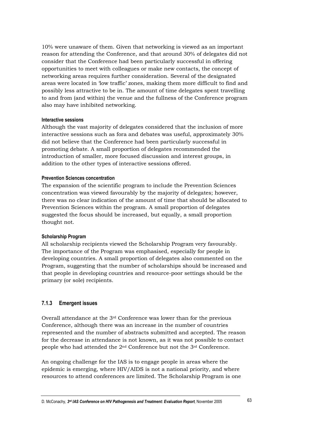10% were unaware of them. Given that networking is viewed as an important reason for attending the Conference, and that around 30% of delegates did not consider that the Conference had been particularly successful in offering opportunities to meet with colleagues or make new contacts, the concept of networking areas requires further consideration. Several of the designated areas were located in 'low traffic' zones, making them more difficult to find and possibly less attractive to be in. The amount of time delegates spent travelling to and from (and within) the venue and the fullness of the Conference program also may have inhibited networking.

## Interactive sessions

Although the vast majority of delegates considered that the inclusion of more interactive sessions such as fora and debates was useful, approximately 30% did not believe that the Conference had been particularly successful in promoting debate. A small proportion of delegates recommended the introduction of smaller, more focused discussion and interest groups, in addition to the other types of interactive sessions offered.

## **Prevention Sciences concentration**

The expansion of the scientific program to include the Prevention Sciences concentration was viewed favourably by the majority of delegates; however, there was no clear indication of the amount of time that should be allocated to Prevention Sciences within the program. A small proportion of delegates suggested the focus should be increased, but equally, a small proportion thought not.

## **Scholarship Program**

All scholarship recipients viewed the Scholarship Program very favourably. The importance of the Program was emphasised, especially for people in developing countries. A small proportion of delegates also commented on the Program, suggesting that the number of scholarships should be increased and that people in developing countries and resource-poor settings should be the primary (or sole) recipients.

#### $7.1.3$ **Emergent issues**

Overall attendance at the 3<sup>rd</sup> Conference was lower than for the previous Conference, although there was an increase in the number of countries represented and the number of abstracts submitted and accepted. The reason for the decrease in attendance is not known, as it was not possible to contact people who had attended the 2<sup>nd</sup> Conference but not the 3<sup>rd</sup> Conference.

An ongoing challenge for the IAS is to engage people in areas where the epidemic is emerging, where HIV/AIDS is not a national priority, and where resources to attend conferences are limited. The Scholarship Program is one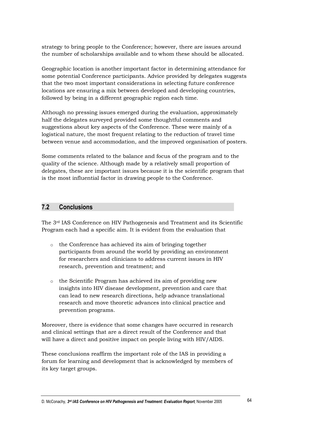strategy to bring people to the Conference; however, there are issues around the number of scholarships available and to whom these should be allocated.

Geographic location is another important factor in determining attendance for some potential Conference participants. Advice provided by delegates suggests that the two most important considerations in selecting future conference locations are ensuring a mix between developed and developing countries, followed by being in a different geographic region each time.

Although no pressing issues emerged during the evaluation, approximately half the delegates surveyed provided some thoughtful comments and suggestions about key aspects of the Conference. These were mainly of a logistical nature, the most frequent relating to the reduction of travel time between venue and accommodation, and the improved organisation of posters.

Some comments related to the balance and focus of the program and to the quality of the science. Although made by a relatively small proportion of delegates, these are important issues because it is the scientific program that is the most influential factor in drawing people to the Conference.

#### $7.2$ **Conclusions**

The 3<sup>rd</sup> IAS Conference on HIV Pathogenesis and Treatment and its Scientific Program each had a specific aim. It is evident from the evaluation that

- $\circ$  the Conference has achieved its aim of bringing together participants from around the world by providing an environment for researchers and clinicians to address current issues in HIV research, prevention and treatment; and
- o the Scientific Program has achieved its aim of providing new insights into HIV disease development, prevention and care that can lead to new research directions, help advance translational research and move theoretic advances into clinical practice and prevention programs.

Moreover, there is evidence that some changes have occurred in research and clinical settings that are a direct result of the Conference and that will have a direct and positive impact on people living with HIV/AIDS.

These conclusions reaffirm the important role of the IAS in providing a forum for learning and development that is acknowledged by members of its key target groups.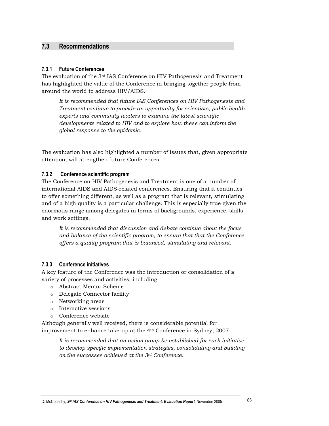#### $7.3$ **Recommendations**

## 7.3.1 Future Conferences

The evaluation of the 3<sup>rd</sup> IAS Conference on HIV Pathogenesis and Treatment has highlighted the value of the Conference in bringing together people from around the world to address HIV/AIDS.

It is recommended that future IAS Conferences on HIV Pathogenesis and Treatment continue to provide an opportunity for scientists, public health experts and community leaders to examine the latest scientific developments related to HIV and to explore how these can inform the global response to the epidemic.

The evaluation has also highlighted a number of issues that, given appropriate attention, will strengthen future Conferences.

#### $7.3.2$ Conference scientific program

The Conference on HIV Pathogenesis and Treatment is one of a number of international AIDS and AIDS-related conferences. Ensuring that it continues to offer something different, as well as a program that is relevant, stimulating and of a high quality is a particular challenge. This is especially true given the enormous range among delegates in terms of backgrounds, experience, skills and work settings.

It is recommended that discussion and debate continue about the focus and balance of the scientific program, to ensure that that the Conference offers a quality program that is balanced, stimulating and relevant.

#### **Conference initiatives** 7.3.3

A key feature of the Conference was the introduction or consolidation of a variety of processes and activities, including

- o Abstract Mentor Scheme
- o Delegate Connector facility
- $\circ$  Networking areas
- $\circ$  Interactive sessions
- o Conference website

Although generally well received, there is considerable potential for improvement to enhance take-up at the 4<sup>th</sup> Conference in Sydney, 2007.

It is recommended that an action group be established for each initiative to develop specific implementation strategies, consolidating and building on the successes achieved at the 3rd Conference.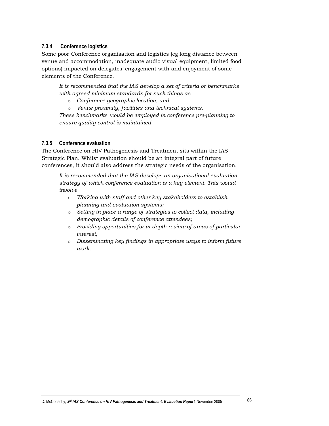#### $7.3.4$ **Conference logistics**

Some poor Conference organisation and logistics (eg long distance between) venue and accommodation, inadequate audio visual equipment, limited food options) impacted on delegates' engagement with and enjoyment of some elements of the Conference.

It is recommended that the IAS develop a set of criteria or benchmarks with agreed minimum standards for such things as

o Conference geographic location, and

Venue proximity, facilities and technical systems.  $\circ$ 

These benchmarks would be employed in conference pre-planning to ensure quality control is maintained.

## 7.3.5 Conference evaluation

The Conference on HIV Pathogenesis and Treatment sits within the IAS Strategic Plan. Whilst evaluation should be an integral part of future conferences, it should also address the strategic needs of the organisation.

It is recommended that the IAS develops an organisational evaluation strategy of which conference evaluation is a key element. This would involve

- o Working with staff and other key stakeholders to establish planning and evaluation systems;
- o Setting in place a range of strategies to collect data, including demographic details of conference attendees;
- o Providing opportunities for in-depth review of areas of particular interest:
- $\circ$  Disseminating key findings in appropriate ways to inform future work.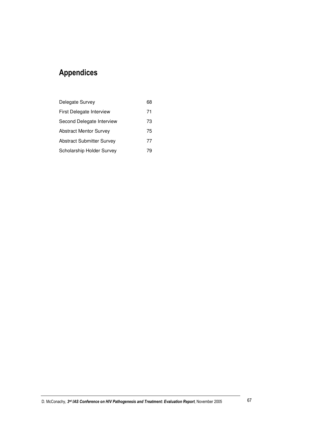## **Appendices**

| Delegate Survey                  | 68 |
|----------------------------------|----|
| First Delegate Interview         | 71 |
| Second Delegate Interview        | 73 |
| <b>Abstract Mentor Survey</b>    | 75 |
| <b>Abstract Submitter Survey</b> | 77 |
| Scholarship Holder Survey        | 79 |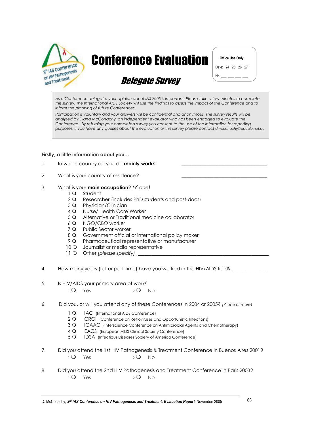

# **Conference Evaluation**

**Office Use Only** Date: 24 25 26 27  $No:$ <u> 2002 - 20</u>

## **Delegate Survey**

As a Conference delegate, your opinion about IAS 2005 is important. Please take a few minutes to complete this survey. The International AIDS Society will use the findings to assess the impact of the Conference and to inform the planning of future Conferences.

Participation is voluntary and your answers will be confidential and anonymous. The survey results will be analysed by Diana McConachy, an independent evaluator who has been engaged to evaluate the Conference. By returning your completed survey you consent to the use of the information for reporting purposes. If you have any queries about the evaluation or this survey please contact dmcconachy@people.net.au

## Firstly, a little information about you...

- $\mathbf{1}$ . In which country do you do mainly work?
- $2.$ What is your country of residence?
- 3. What is your **main occupation**? ( $\checkmark$  one)
	- 1 Q Student
	- 2 O Researcher (includes PhD students and post-docs)
	- 3 Q Physician/Clinician
	- 4 Q Nurse/ Health Care Worker
	- 5 Q Alternative or Traditional medicine collaborator
	- 6.Q NGO/CBO worker
	- 7 Q Public Sector worker
	- 8 Q Government official or international policy maker
	- 9 O Pharmaceutical representative or manufacturer
	- 10 Q Journalist or media representative
	- 11 O Other (please specify) \_\_\_
- 4. How many years (full or part-time) have you worked in the HIV/AIDS field?
- 5. Is HIV/AIDS your primary area of work?
	- $\overline{Q}$ Yes  $2Q$  No
- 6. Did you, or will you attend any of these Conferences in 2004 or 2005? ( $\checkmark$  one or more)
	- $1\Omega$ IAC (International AIDS Conference)
	- $2Q$ CROI (Conference on Retroviruses and Opportunistic Infections)
	- $3Q$ ICAAC (Interscience Conference on Antimicrobial Agents and Chemotherapy)
	- $4\Omega$ EACS (European AIDS Clinical Society Conference)
	- $5Q$ IDSA (Infectious Diseases Society of America Conference)
- $7<sup>1</sup>$ Did you attend the 1st HIV Pathogenesis & Treatment Conference in Buenos Aires 2001?  $\overline{1}$   $\overline{Q}$ Yes  $2^{\circ}$ **No**
- 8. Did you attend the 2nd HIV Pathogenesis and Treatment Conference in Paris 2003?  $1Q$  Yes  $2Q$  No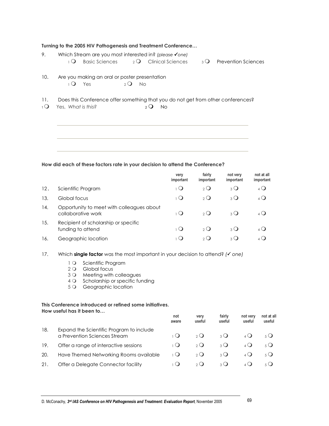| 9.                 | Turning to the 2005 HIV Pathogenesis and Treatment Conference<br>Which Stream are you most interested in? (please √one)                                        |                               |                     |                            |             |                         |
|--------------------|----------------------------------------------------------------------------------------------------------------------------------------------------------------|-------------------------------|---------------------|----------------------------|-------------|-------------------------|
|                    | $2^{\circ}$<br>$\overline{1}$ $\overline{O}$<br><b>Basic Sciences</b>                                                                                          | <b>Clinical Sciences</b>      | $3^{\circ}$         | <b>Prevention Sciences</b> |             |                         |
| 10.                | Are you making an oral or poster presentation<br>$\overline{1}$ $\overline{Q}$<br>$2^{\circ}$<br>Yes<br>- No                                                   |                               |                     |                            |             |                         |
| 11.<br>$1^{\circ}$ | Does this Conference offer something that you do not get from other conferences?<br>Yes, What is this?<br>$\overline{2}$ $\overline{Q}$<br><b>No</b>           |                               |                     |                            |             |                         |
|                    | How did each of these factors rate in your decision to attend the Conference?                                                                                  |                               |                     |                            |             |                         |
|                    |                                                                                                                                                                | very<br>important             | fairly<br>important | not very<br>important      |             | not at all<br>important |
| 12.                | Scientific Program                                                                                                                                             | $\overline{O}$                | $2^{\circ}$         | $3\Omega$                  |             | $4\Omega$               |
| 13.                | Global focus                                                                                                                                                   | $\overline{1}$ $\overline{O}$ | $2^{\circ}$         | $_3$ $\bigcirc$            |             | $4\Omega$               |
| 14.                | Opportunity to meet with colleagues about<br>collaborative work                                                                                                | $\overline{O}$                | $2^{\circ}$         | 3 <sup>O</sup>             |             | $4\Omega$               |
| 15.                | Recipient of scholarship or specific<br>funding to attend                                                                                                      | $\overline{O}$                | $2^{\circ}$         | $3\Omega$                  |             | $4\Omega$               |
| 16.                | Geographic location                                                                                                                                            | $\overline{Q}$                | $2^{\circ}$         | $3^{\circ}$                |             | $4\Omega$               |
| 17.                | Which single factor was the most important in your decision to attend? ( $\checkmark$ one)                                                                     |                               |                     |                            |             |                         |
|                    | $1^{\circ}$<br>Scientific Program<br>2Q<br>Global focus<br>Meeting with colleagues<br>3Q<br>Scholarship or specific funding<br>4O<br>5Q<br>Geographic location |                               |                     |                            |             |                         |
|                    | This Conference introduced or refined some initiatives.<br>How useful has it been to                                                                           | not                           | very                | fairly                     | not very    | not at all              |
|                    |                                                                                                                                                                | aware                         | useful              | useful                     | useful      | useful                  |
| 18.                | Expand the Scientific Program to include<br>a Prevention Sciences Stream                                                                                       | $\overline{Q}$                | $2^{\circ}$         | $3\Omega$                  | $4\bigcirc$ | $5\Omega$               |
| 19.                | Offer a range of interactive sessions                                                                                                                          | $\overline{1}$ $\overline{Q}$ | $2^{\circ}$         | $3\Omega$                  | $4\Omega$   | $5\Omega$               |
| 20.                | Have Themed Networking Rooms available                                                                                                                         | $\overline{1}$ $\overline{Q}$ | $2^{\circ}$         | $3\Omega$                  | $4\Omega$   | $5\bigcirc$             |
| 21.                | Offer a Delegate Connector facility                                                                                                                            | $\overline{1}$ $\overline{Q}$ | $2^{\circ}$         | $3\bigcirc$                | $4\Omega$   | $5\bigcirc$             |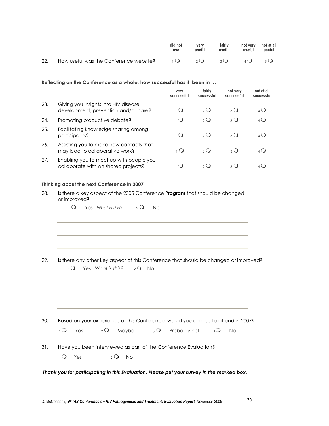|     |                                                           | did not<br>use | verv<br>useful | fairlv<br>useful | not very not at all<br>useful | useful |
|-----|-----------------------------------------------------------|----------------|----------------|------------------|-------------------------------|--------|
| 22. | How useful was the Conference website? $1Q_2Q_3Q_4Q_5Q_6$ |                |                |                  |                               |        |

### Reflecting on the Conference as a whole, how successful has it been in ...

|     |                                                                                 | very<br>successful | fairly<br>successful | not very<br>successful     | not at all<br>successful |
|-----|---------------------------------------------------------------------------------|--------------------|----------------------|----------------------------|--------------------------|
| 23. | Giving you insights into HIV disease<br>development, prevention and/or care?    | $_1($              | $\partial$           | $\mathcal{L}(\mathcal{L})$ | ( )                      |
| 24. | Promoting productive debate?                                                    | 1 ( )              | $2^{\circ}$          | $3\Omega$                  | $\Delta$ $\Omega$        |
| 25. | Facilitating knowledge sharing among<br>participants?                           | $_{1}$ ( )         | $\Omega$             | $3\Omega$                  |                          |
| 26. | Assisting you to make new contacts that<br>may lead to collaborative work?      | $_{1}$ ( )         | $\Omega$             | $3$ $\Omega$               |                          |
| 27. | Enabling you to meet up with people you<br>collaborate with on shared projects? |                    | 2(                   | 3 Q                        |                          |

### Thinking about the next Conference in 2007

- 28. Is there a key aspect of the 2005 Conference Program that should be changed or improved?
	- $\overline{1}$   $\overline{Q}$  Yes What is this?  $2Q$  No

29. Is there any other key aspect of this Conference that should be changed or improved? 1 O Yes What is this? 2 O No

 $30.$ Based on your experience of this Conference, would you choose to attend in 2007?  $1Q$  Yes  $2\Omega$ Maybe  $3Q$ Probably not  $4Q$  No

 $31.$ Have you been interviewed as part of the Conference Evaluation?

 $1Q$  Yes  $2Q$  No

Thank you for participating in this Evaluation. Please put your survey in the marked box.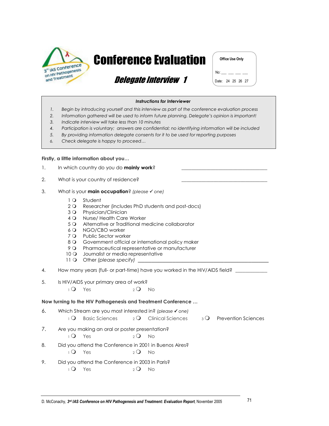

# **Conference Evaluation**

Office Use Only

## *Delegate Interview 1*



## Instructions for Interviewer

- Begin by introducing yourself and this interview as part of the conference evaluation process  $1.$
- $2.$ Information gathered will be used to inform future planning. Delegate's opinion is important!
- Indicate interview will take less than 10 minutes  $3.$
- Participation is voluntary; answers are confidential; no identifying information will be included  $\overline{4}$
- $5.$ By providing information delegate consents for it to be used for reporting purposes
- Check delegate is happy to proceed...  $6<sup>1</sup>$

## Firstly, a little information about you...

- $\mathbf{1}$ . In which country do you do mainly work?
- $\mathcal{P}$ What is your country of residence?
- 3. What is your **main occupation**? (please  $\checkmark$  one)
	- 1 Q Student
	- 2 Q Researcher (includes PhD students and post-docs)
	- 3 O Physician/Clinician
	- 4 O Nurse/ Health Care Worker
	- 5 Q Alternative or Traditional medicine collaborator
	- 6 Q NGO/CBO worker
	- 7 Q Public Sector worker
	- 8 O Government official or international policy maker
	- 9 O Pharmaceutical representative or manufacturer
	- 10 O Journalist or media representative
	- 11 O Other (please specify)
- $\overline{4}$ . How many years (full- or part-time) have you worked in the HIV/AIDS field?
- 5. Is HIV/AIDS your primary area of work?

 $1^\circ$  Yes  $2Q$  No

## Now turning to the HIV Pathogenesis and Treatment Conference ...

- 6. Which Stream are you most interested in? (please √ one)  $\overline{Q}$  Basic Sciences 2 O Clinical Sciences
	- $3\Omega$  Prevention Sciences
- 7. Are you making an oral or poster presentation?
	- $\overline{Q}$ Yes  $2Q$  No
- 8. Did you attend the Conference in 2001 in Buenos Aires?  $1^\circ$  Yes  $2Q$  No
- Did you attend the Conference in 2003 in Paris? 9.  $1^\circ$  Yes
	- $2Q$  No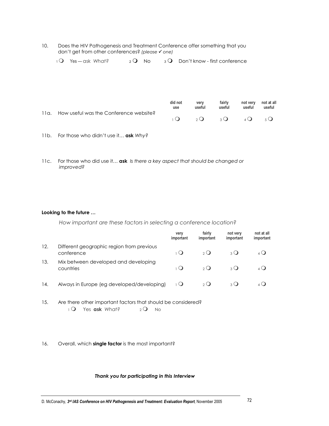| 10. | Does the HIV Pathogenesis and Treatment Conference offer something that you |
|-----|-----------------------------------------------------------------------------|
|     | don't get from other conferences? (please $\checkmark$ one)                 |

| $1\Omega$ Yes — ask What? | $2Q$ No | $\overline{3}$ O Don't know - first conference |
|---------------------------|---------|------------------------------------------------|
|                           |         |                                                |

|                                             | did not<br>use | verv<br>useful | fairly<br>useful            | not verv<br>useful | not at all<br>useful |
|---------------------------------------------|----------------|----------------|-----------------------------|--------------------|----------------------|
| 11g. How useful was the Conference website? |                | $2^{\circ}$    | $3\,\text{O}$ $4\,\text{O}$ |                    | 5(1)                 |

- 11b. For those who didn't use it... ask Why?
- 11c. For those who did use it... ask Is there a key aspect that should be changed or improved?

## Looking to the future ...

How important are these factors in selecting a conference location?

|     |                                                         | very<br>important  | fairly<br>important | not very<br>important | not at all<br>important |
|-----|---------------------------------------------------------|--------------------|---------------------|-----------------------|-------------------------|
| 12. | Different geographic region from previous<br>conference | 1 ( )              | $\Omega$            | 3 <sup>o</sup>        | $4\circ$                |
| 13. | Mix between developed and developing<br>countries       | $\overline{1}$ ( ) | $\Omega$            | $\mathcal{E}(\cdot)$  |                         |
| 14. | Always in Europe (eg developed/developing)              | 1 Q                | $2^{\circ}$         | 3 Q                   |                         |

- $15.$ Are there other important factors that should be considered? 1 O Yes ask What?  $2Q$  No
- $16.$ Overall, which single factor is the most important?

## Thank you for participating in this Interview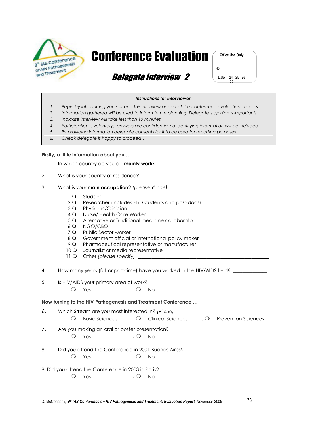

# **Conference Evaluation**



Date: 24 25 26  $27$ 

## *Delegate Interview 2*

#### **Instructions for Interviewer**

- $1.$ Begin by introducing yourself and this interview as part of the conference evaluation process
- Information gathered will be used to inform future planning. Delegate's opinion is important!  $2.$
- Indicate interview will take less than 10 minutes  $3.$
- Participation is voluntary; answers are confidential no identifying information will be included  $4.$
- 5. By providing information delegate consents for it to be used for reporting purposes
- Check delegate is happy to proceed... 6.

## Firstly, a little information about you...

- $\mathbf{1}$ . In which country do you do mainly work?
- $2.$ What is your country of residence?
- 3. What is your **main occupation**? (please  $\checkmark$  one)
	- 1 Q Student
	- 2 Q Researcher (includes PhD students and post-docs)
	- 3 Q Physician/Clinician
	- 4 Q Nurse/ Health Care Worker
	- 5 Q Alternative or Traditional medicine collaborator
	- 6 Q NGO/CBO
	- 7 O Public Sector worker
	- 8 O Government official or international policy maker
	- 9 Q Pharmaceutical representative or manufacturer
	- 10 O Journalist or media representative
	- 11 O Other (please specify) \_

How many years (full or part-time) have you worked in the HIV/AIDS field?  $\overline{4}$ .

5. Is HIV/AIDS your primary area of work?

> $1\Omega$  Yes  $2Q$  No

## Now turning to the HIV Pathogenesis and Treatment Conference ...

6. Which Stream are you most interested in? (v one) <sup>2</sup> O Clinical Sciences  $\overline{O}$ Basic Sciences  $\overline{3}$  Prevention Sciences 7. Are you making an oral or poster presentation?  $\overline{Q}$ Yes  $2Q$  No 8. Did you attend the Conference in 2001 Buenos Aires?  $1^\circ$  Yes  $2Q$  No 9. Did you attend the Conference in 2003 in Paris?  $1\Omega$  Yes  $2Q$  No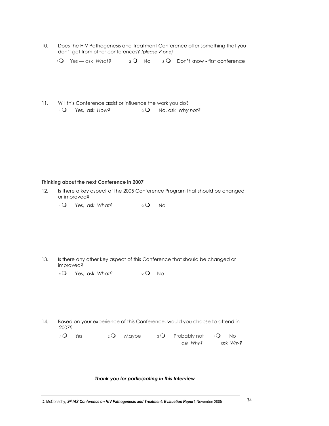$10<sub>1</sub>$ Does the HIV Pathogenesis and Treatment Conference offer something that you don't get from other conferences? (please √ one)

 $1Q$  Yes — ask What?  $2Q$  No  $3Q$  Don't know - first conference

 $11.$ Will this Conference assist or influence the work you do?  $1\Omega$  Yes, ask How?  $2Q$  No, ask Why not?

## Thinking about the next Conference in 2007

- $12.$ Is there a key aspect of the 2005 Conference Program that should be changed or improved?
	- $1\Omega$  Yes, ask What?  $2Q$  No

- $13.$ Is there any other key aspect of this Conference that should be changed or improved?
	- $1^{\circ}$ Yes, ask What?  $2Q$  No
- $14.$ Based on your experience of this Conference, would you choose to attend in 2007<sup>\$</sup>

 $1Q$  Yes  $2Q$  Maybe  $3^{\circ}$ Probably not  $4Q$  No ask Why? ask Why?

Thank you for participating in this Interview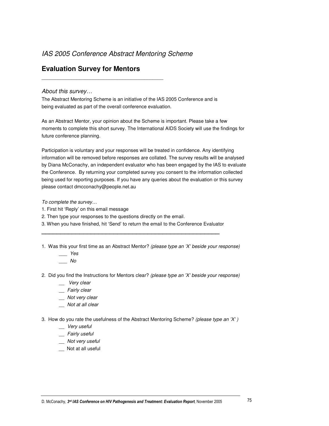## *IAS 2005 Conference Abstract Mentoring Scheme*

## **Evaluation Survey for Mentors**

\_\_\_\_\_\_\_\_\_\_\_\_\_\_\_\_\_\_\_\_\_\_\_\_\_\_\_\_\_\_\_\_\_\_\_\_\_\_\_\_\_\_\_\_\_

## *About this survey…*

The Abstract Mentoring Scheme is an initiative of the IAS 2005 Conference and is being evaluated as part of the overall conference evaluation.

As an Abstract Mentor, your opinion about the Scheme is important. Please take a few moments to complete this short survey. The International AIDS Society will use the findings for future conference planning.

Participation is voluntary and your responses will be treated in confidence. Any identifying information will be removed before responses are collated. The survey results will be analysed by Diana McConachy, an independent evaluator who has been engaged by the IAS to evaluate the Conference. By returning your completed survey you consent to the information collected being used for reporting purposes. If you have any queries about the evaluation or this survey please contact dmcconachy@people.net.au

*To complete the survey…*

- 1. First hit 'Reply' on this email message
- 2. Then type your responses to the questions directly on the email.
- 3. When you have finished, hit 'Send' to return the email to the Conference Evaluator **\_\_\_\_\_\_\_\_\_\_\_\_\_\_\_\_\_\_\_\_\_\_\_\_\_\_\_\_\_\_\_\_\_\_\_\_\_\_\_\_\_\_\_\_\_\_\_**
- 1. Was this your first time as an Abstract Mentor? *(please type an 'X' beside your response)*
	- *\_\_\_ Yes \_\_\_ No*
- 2. Did you find the Instructions for Mentors clear? *(please type an 'X' beside your response)*
	- *\_\_ Very clear*
	- *\_\_ Fairly clear*
	- *\_\_ Not very clear*
	- *\_\_ Not at all clear*
- 3. How do you rate the usefulness of the Abstract Mentoring Scheme? *(please type an 'X' )*
	- *\_\_ Very useful*
	- *\_\_ Fairly useful*
	- *\_\_ Not very useful*
	- \_\_ Not at all useful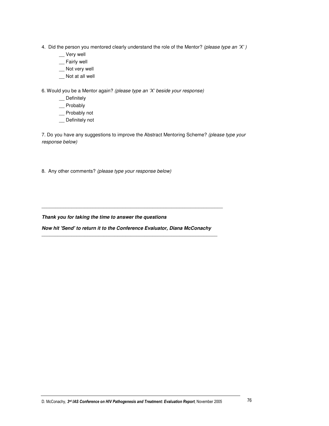- 4. Did the person you mentored clearly understand the role of the Mentor? *(please type an 'X' )*
	- \_\_ Very well
	- \_\_ Fairly well
	- \_\_ Not very well
	- \_\_ Not at all well

6. Would you be a Mentor again? *(please type an 'X' beside your response)*

- \_\_ Definitely
- \_\_ Probably
- \_\_ Probably not
- \_\_ Definitely not

7. Do you have any suggestions to improve the Abstract Mentoring Scheme? *(please type your response below)*

8. Any other comments? *(please type your response below)*

*Thank you for taking the time to answer the questions*

*Now hit 'Send' to return it to the Conference Evaluator, Diana McConachy*  $\overline{a}$  , and the contribution of the contribution of the contribution of the contribution of the contribution of the contribution of the contribution of the contribution of the contribution of the contribution of the co

 $\overline{a}$  , and the state of the state of the state of the state of the state of the state of the state of the state of the state of the state of the state of the state of the state of the state of the state of the state o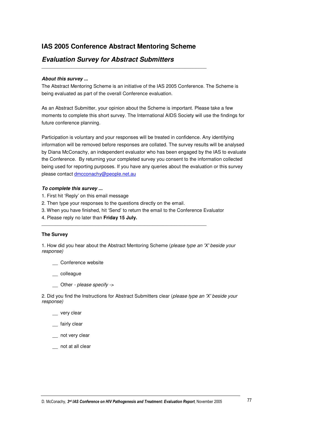## **IAS 2005 Conference Abstract Mentoring Scheme**

\_\_\_\_\_\_\_\_\_\_\_\_\_\_\_\_\_\_\_\_\_\_\_\_\_\_\_\_\_\_\_\_\_\_\_\_\_\_\_\_\_\_\_\_\_\_\_\_\_\_\_\_\_\_\_\_\_\_\_\_\_

## *Evaluation Survey for Abstract Submitters*

#### *About this survey ...*

The Abstract Mentoring Scheme is an initiative of the IAS 2005 Conference. The Scheme is being evaluated as part of the overall Conference evaluation.

As an Abstract Submitter, your opinion about the Scheme is important. Please take a few moments to complete this short survey. The International AIDS Society will use the findings for future conference planning.

Participation is voluntary and your responses will be treated in confidence. Any identifying information will be removed before responses are collated. The survey results will be analysed by Diana McConachy, an independent evaluator who has been engaged by the IAS to evaluate the Conference. By returning your completed survey you consent to the information collected being used for reporting purposes. If you have any queries about the evaluation or this survey please contact dmcconachy@people.net.au

#### *To complete this survey ...*

- 1. First hit 'Reply' on this email message
- 2. Then type your responses to the questions directly on the email.
- 3. When you have finished, hit 'Send' to return the email to the Conference Evaluator

\_\_\_\_\_\_\_\_\_\_\_\_\_\_\_\_\_\_\_\_\_\_\_\_\_\_\_\_\_\_\_\_\_\_\_\_\_\_\_\_\_\_\_\_\_\_\_\_\_\_\_\_\_\_\_\_\_\_\_\_\_

4. Please reply no later than **Friday 15 July.**

#### **The Survey**

1. How did you hear about the Abstract Mentoring Scheme (*please type an 'X'beside your response)*

\_\_ Conference website

\_\_ colleague

\_\_ Other *- please specify ->*

2. Did you find the Instructions for Abstract Submitters clear (*please type an 'X'beside your response)*

\_\_ very clear

fairly clear

- not very clear
- \_\_ not at all clear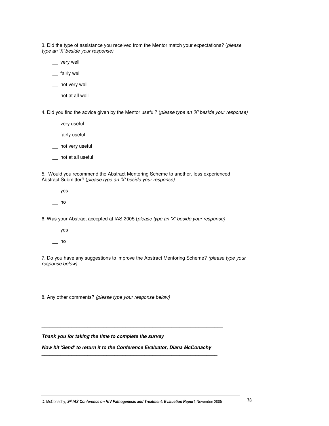3. Did the type of assistance you received from the Mentor match your expectations? (*please type an 'X'beside your response)*

- \_\_ very well
- \_\_ fairly well
- \_\_ not very well
- \_\_ not at all well

4. Did you find the advice given by the Mentor useful? (*please type an 'X'beside your response)*

- \_\_ very useful
- \_\_ fairly useful
- \_\_ not very useful
- \_\_ not at all useful

5. Would you recommend the Abstract Mentoring Scheme to another, less experienced Abstract Submitter? (*please type an 'X'beside your response)*

- $\equiv$  yes
- \_\_ no

6. Was your Abstract accepted at IAS 2005 (*please type an 'X'beside your response)*

- $\equiv$  yes
- $\overline{\phantom{0}}$  no

7. Do you have any suggestions to improve the Abstract Mentoring Scheme? *(please type your response below)*

8. Any other comments? *(please type your response below)*

*Thank you for taking the time to complete the survey*

*Now hit 'Send' to return it to the Conference Evaluator, Diana McConachy*  $\overline{a}$  , and the contribution of the contribution of the contribution of the contribution of the contribution of the contribution of the contribution of the contribution of the contribution of the contribution of the co

 $\Box$